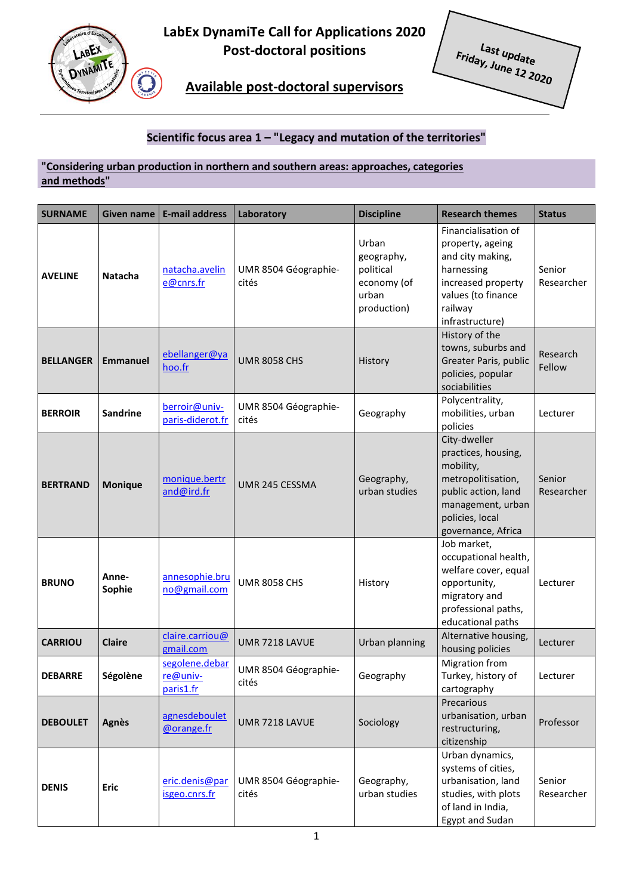

**LabEx DynamiTe Call for Applications 2020 Post-doctoral positions**

**Available post-doctoral supervisors**

# **Scientific focus area 1 – "Legacy and mutation of the territories"**

Last update<br>ay, Jupe 12 Last update<br>Friday, June 12 2020

#### **"Considering urban production in northern and southern areas: approaches, categories and methods"**

| <b>SURNAME</b>   | <b>Given name</b> | <b>E-mail address</b>                   | Laboratory                    | <b>Discipline</b>                                                       | <b>Research themes</b>                                                                                                                                      | <b>Status</b>        |
|------------------|-------------------|-----------------------------------------|-------------------------------|-------------------------------------------------------------------------|-------------------------------------------------------------------------------------------------------------------------------------------------------------|----------------------|
| <b>AVELINE</b>   | <b>Natacha</b>    | natacha.avelin<br>e@cnrs.fr             | UMR 8504 Géographie-<br>cités | Urban<br>geography,<br>political<br>economy (of<br>urban<br>production) | Financialisation of<br>property, ageing<br>and city making,<br>harnessing<br>increased property<br>values (to finance<br>railway<br>infrastructure)         | Senior<br>Researcher |
| <b>BELLANGER</b> | <b>Emmanuel</b>   | ebellanger@ya<br>hoo.fr                 | <b>UMR 8058 CHS</b>           | History                                                                 | History of the<br>towns, suburbs and<br>Greater Paris, public<br>policies, popular<br>sociabilities                                                         | Research<br>Fellow   |
| <b>BERROIR</b>   | <b>Sandrine</b>   | berroir@univ-<br>paris-diderot.fr       | UMR 8504 Géographie-<br>cités | Geography                                                               | Polycentrality,<br>mobilities, urban<br>policies                                                                                                            | Lecturer             |
| <b>BERTRAND</b>  | <b>Monique</b>    | monique.bertr<br>and@ird.fr             | UMR 245 CESSMA                | Geography,<br>urban studies                                             | City-dweller<br>practices, housing,<br>mobility,<br>metropolitisation,<br>public action, land<br>management, urban<br>policies, local<br>governance, Africa | Senior<br>Researcher |
| <b>BRUNO</b>     | Anne-<br>Sophie   | annesophie.bru<br>no@gmail.com          | <b>UMR 8058 CHS</b>           | History                                                                 | Job market,<br>occupational health,<br>welfare cover, equal<br>opportunity,<br>migratory and<br>professional paths,<br>educational paths                    | Lecturer             |
| <b>CARRIOU</b>   | <b>Claire</b>     | claire.carriou@<br>gmail.com            | UMR 7218 LAVUE                | Urban planning                                                          | Alternative housing,<br>housing policies                                                                                                                    | Lecturer             |
| <b>DEBARRE</b>   | Ségolène          | segolene.debar<br>re@univ-<br>paris1.fr | UMR 8504 Géographie-<br>cités | Geography                                                               | <b>Migration from</b><br>Turkey, history of<br>cartography                                                                                                  | Lecturer             |
| <b>DEBOULET</b>  | Agnès             | agnesdeboulet<br>@orange.fr             | UMR 7218 LAVUE                | Sociology                                                               | Precarious<br>urbanisation, urban<br>restructuring,<br>citizenship                                                                                          | Professor            |
| <b>DENIS</b>     | Eric              | eric.denis@par<br>isgeo.cnrs.fr         | UMR 8504 Géographie-<br>cités | Geography,<br>urban studies                                             | Urban dynamics,<br>systems of cities,<br>urbanisation, land<br>studies, with plots<br>of land in India,<br>Egypt and Sudan                                  | Senior<br>Researcher |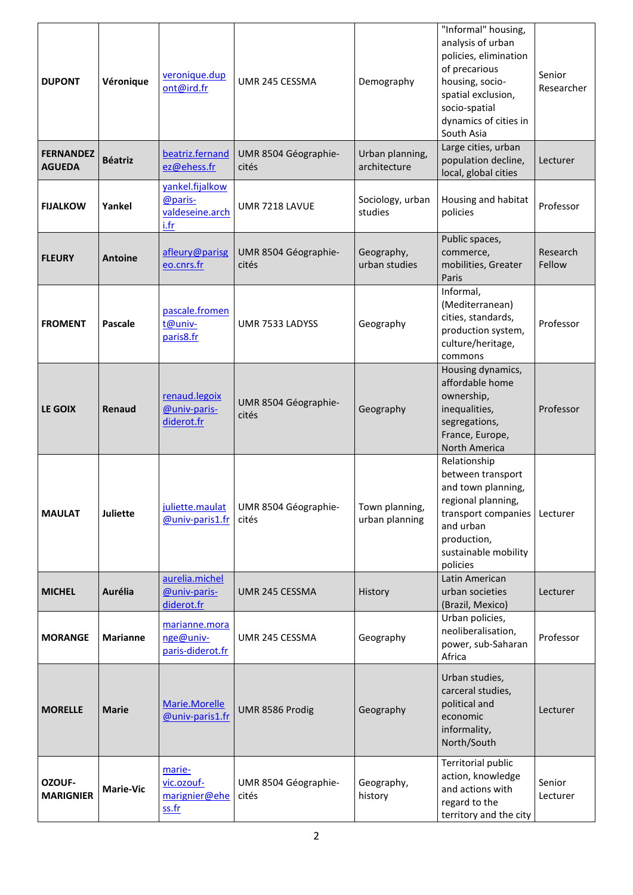| <b>DUPONT</b>                     | Véronique        | veronique.dup<br>ont@ird.fr                           | UMR 245 CESSMA                | Demography                       | "Informal" housing,<br>analysis of urban<br>policies, elimination<br>of precarious<br>housing, socio-<br>spatial exclusion,<br>socio-spatial<br>dynamics of cities in<br>South Asia | Senior<br>Researcher |
|-----------------------------------|------------------|-------------------------------------------------------|-------------------------------|----------------------------------|-------------------------------------------------------------------------------------------------------------------------------------------------------------------------------------|----------------------|
| <b>FERNANDEZ</b><br><b>AGUEDA</b> | <b>Béatriz</b>   | beatriz.fernand<br>ez@ehess.fr                        | UMR 8504 Géographie-<br>cités | Urban planning,<br>architecture  | Large cities, urban<br>population decline,<br>local, global cities                                                                                                                  | Lecturer             |
| <b>FIJALKOW</b>                   | Yankel           | yankel.fijalkow<br>@paris-<br>valdeseine.arch<br>i.fr | UMR 7218 LAVUE                | Sociology, urban<br>studies      | Housing and habitat<br>policies                                                                                                                                                     | Professor            |
| <b>FLEURY</b>                     | <b>Antoine</b>   | afleury@parisg<br>eo.cnrs.fr                          | UMR 8504 Géographie-<br>cités | Geography,<br>urban studies      | Public spaces,<br>commerce,<br>mobilities, Greater<br>Paris                                                                                                                         | Research<br>Fellow   |
| <b>FROMENT</b>                    | <b>Pascale</b>   | pascale.fromen<br>t@univ-<br>paris8.fr                | UMR 7533 LADYSS               | Geography                        | Informal,<br>(Mediterranean)<br>cities, standards,<br>production system,<br>culture/heritage,<br>commons                                                                            | Professor            |
| LE GOIX                           | Renaud           | renaud.legoix<br>@univ-paris-<br>diderot.fr           | UMR 8504 Géographie-<br>cités | Geography                        | Housing dynamics,<br>affordable home<br>ownership,<br>inequalities,<br>segregations,<br>France, Europe,<br>North America                                                            | Professor            |
| <b>MAULAT</b>                     | <b>Juliette</b>  | juliette.maulat<br>@univ-paris1.fr                    | UMR 8504 Géographie-<br>cités | Town planning,<br>urban planning | Relationship<br>between transport<br>and town planning,<br>regional planning,<br>transport companies<br>and urban<br>production,<br>sustainable mobility<br>policies                | Lecturer             |
| <b>MICHEL</b>                     | <b>Aurélia</b>   | aurelia.michel<br>@univ-paris-<br>diderot.fr          | UMR 245 CESSMA                | History                          | Latin American<br>urban societies<br>(Brazil, Mexico)                                                                                                                               | Lecturer             |
| <b>MORANGE</b>                    | <b>Marianne</b>  | marianne.mora<br>nge@univ-<br>paris-diderot.fr        | UMR 245 CESSMA                | Geography                        | Urban policies,<br>neoliberalisation,<br>power, sub-Saharan<br>Africa                                                                                                               | Professor            |
| <b>MORELLE</b>                    | <b>Marie</b>     | Marie.Morelle<br>@univ-paris1.fr                      | UMR 8586 Prodig               | Geography                        | Urban studies,<br>carceral studies,<br>political and<br>economic<br>informality,<br>North/South                                                                                     | Lecturer             |
| OZOUF-<br><b>MARIGNIER</b>        | <b>Marie-Vic</b> | marie-<br>vic.ozouf-<br>marignier@ehe<br>ss.fr        | UMR 8504 Géographie-<br>cités | Geography,<br>history            | Territorial public<br>action, knowledge<br>and actions with<br>regard to the<br>territory and the city                                                                              | Senior<br>Lecturer   |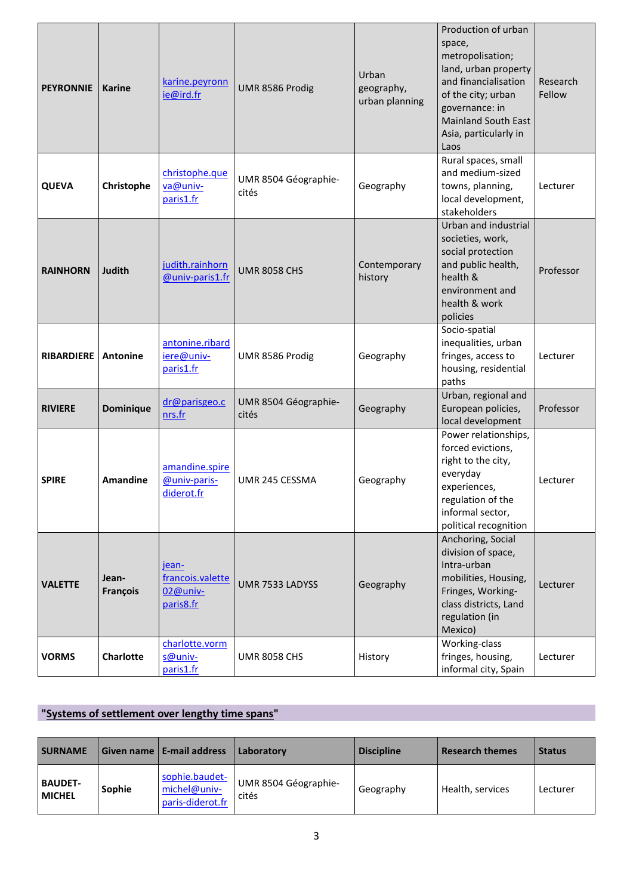| <b>PEYRONNIE</b>  | <b>Karine</b>     | karine.peyronn<br>ie@ird.fr                        | UMR 8586 Prodig               | Urban<br>geography,<br>urban planning | Production of urban<br>space,<br>metropolisation;<br>land, urban property<br>and financialisation<br>of the city; urban<br>governance: in<br><b>Mainland South East</b><br>Asia, particularly in<br>Laos | Research<br>Fellow |
|-------------------|-------------------|----------------------------------------------------|-------------------------------|---------------------------------------|----------------------------------------------------------------------------------------------------------------------------------------------------------------------------------------------------------|--------------------|
| <b>QUEVA</b>      | Christophe        | christophe.que<br>va@univ-<br>paris1.fr            | UMR 8504 Géographie-<br>cités | Geography                             | Rural spaces, small<br>and medium-sized<br>towns, planning,<br>local development,<br>stakeholders                                                                                                        | Lecturer           |
| <b>RAINHORN</b>   | <b>Judith</b>     | judith.rainhorn<br>@univ-paris1.fr                 | <b>UMR 8058 CHS</b>           | Contemporary<br>history               | Urban and industrial<br>societies, work,<br>social protection<br>and public health,<br>health &<br>environment and<br>health & work<br>policies                                                          | Professor          |
| <b>RIBARDIERE</b> | <b>Antonine</b>   | antonine.ribard<br>iere@univ-<br>paris1.fr         | UMR 8586 Prodig               | Geography                             | Socio-spatial<br>inequalities, urban<br>fringes, access to<br>housing, residential<br>paths                                                                                                              | Lecturer           |
| <b>RIVIERE</b>    | <b>Dominique</b>  | dr@parisgeo.c<br>nrs.fr                            | UMR 8504 Géographie-<br>cités | Geography                             | Urban, regional and<br>European policies,<br>local development                                                                                                                                           | Professor          |
| <b>SPIRE</b>      | <b>Amandine</b>   | amandine.spire<br>@univ-paris-<br>diderot.fr       | UMR 245 CESSMA                | Geography                             | Power relationships,<br>forced evictions,<br>right to the city,<br>everyday<br>experiences,<br>regulation of the<br>informal sector,<br>political recognition                                            | Lecturer           |
| <b>VALETTE</b>    | Jean-<br>François | jean-<br>francois.valette<br>02@univ-<br>paris8.fr | UMR 7533 LADYSS               | Geography                             | Anchoring, Social<br>division of space,<br>Intra-urban<br>mobilities, Housing,<br>Fringes, Working-<br>class districts, Land<br>regulation (in<br>Mexico)                                                | Lecturer           |
| <b>VORMS</b>      | <b>Charlotte</b>  | charlotte.vorm<br>s@univ-<br>paris1.fr             | <b>UMR 8058 CHS</b>           | History                               | Working-class<br>fringes, housing,<br>informal city, Spain                                                                                                                                               | Lecturer           |

# **"Systems of settlement over lengthy time spans"**

| <b>SURNAME</b>                  |        | Given name $ $ E-mail address                      | Laboratory                    | <b>Discipline</b> | <b>Research themes</b> | <b>Status</b> |
|---------------------------------|--------|----------------------------------------------------|-------------------------------|-------------------|------------------------|---------------|
| <b>BAUDET-</b><br><b>MICHEL</b> | Sophie | sophie.baudet-<br>michel@univ-<br>paris-diderot.fr | UMR 8504 Géographie-<br>cités | Geography         | Health, services       | Lecturer      |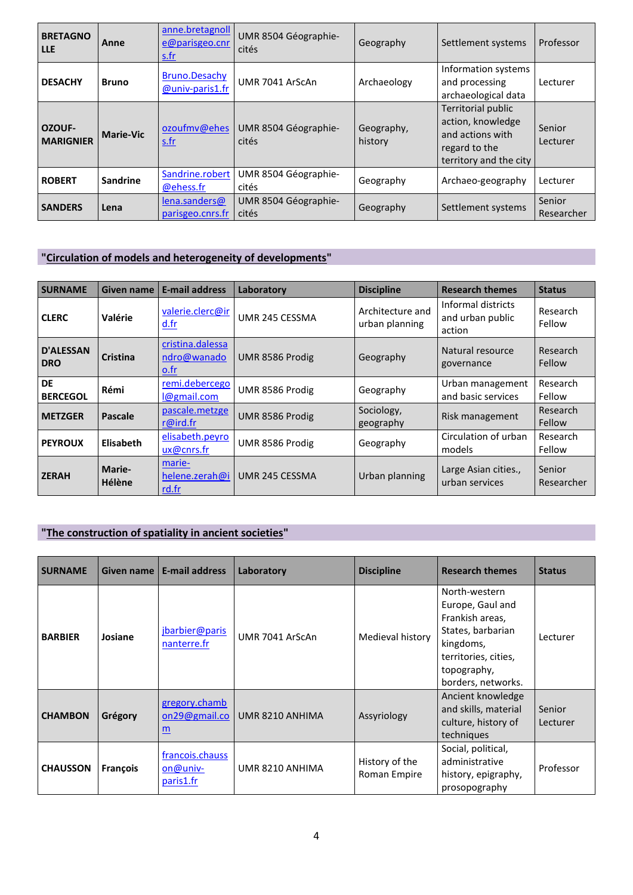| <b>BRETAGNO</b><br><b>LLE</b> | Anne             | anne.bretagnoll<br>e@parisgeo.cnr<br><u>s.fr</u> | UMR 8504 Géographie-<br>cités | Geography             | Settlement systems                                                                                     | Professor            |
|-------------------------------|------------------|--------------------------------------------------|-------------------------------|-----------------------|--------------------------------------------------------------------------------------------------------|----------------------|
| <b>DESACHY</b>                | <b>Bruno</b>     | <b>Bruno.Desachy</b><br>@univ-paris1.fr          | UMR 7041 ArScAn               | Archaeology           | Information systems<br>and processing<br>archaeological data                                           | Lecturer             |
| OZOUF-<br><b>MARIGNIER</b>    | <b>Marie-Vic</b> | ozoufmv@ehes<br>s.fr                             | UMR 8504 Géographie-<br>cités | Geography,<br>history | Territorial public<br>action, knowledge<br>and actions with<br>regard to the<br>territory and the city | Senior<br>Lecturer   |
| <b>ROBERT</b>                 | <b>Sandrine</b>  | Sandrine.robert<br>@ehess.fr                     | UMR 8504 Géographie-<br>cités | Geography             | Archaeo-geography                                                                                      | Lecturer             |
| <b>SANDERS</b>                | Lena             | lena.sanders@<br>parisgeo.cnrs.fr                | UMR 8504 Géographie-<br>cités | Geography             | Settlement systems                                                                                     | Senior<br>Researcher |

# **"Circulation of models and heterogeneity of developments"**

| <b>SURNAME</b>                 | <b>Given name</b> | <b>E-mail address</b>                    | Laboratory      | <b>Discipline</b>                  | <b>Research themes</b>                           | <b>Status</b>        |
|--------------------------------|-------------------|------------------------------------------|-----------------|------------------------------------|--------------------------------------------------|----------------------|
| <b>CLERC</b>                   | <b>Valérie</b>    | valerie.clerc@ir<br>d.fr                 | UMR 245 CESSMA  | Architecture and<br>urban planning | Informal districts<br>and urban public<br>action | Research<br>Fellow   |
| <b>D'ALESSAN</b><br><b>DRO</b> | Cristina          | cristina.dalessa<br>ndro@wanado<br>0.fr  | UMR 8586 Prodig | Geography                          | Natural resource<br>governance                   | Research<br>Fellow   |
| <b>DE</b><br><b>BERCEGOL</b>   | Rémi              | remi.debercego<br>$\alpha$ gmail.com     | UMR 8586 Prodig | Geography                          | Urban management<br>and basic services           | Research<br>Fellow   |
| <b>METZGER</b>                 | Pascale           | pascale.metzge<br>r@ird.fr               | UMR 8586 Prodig | Sociology,<br>geography            | Risk management                                  | Research<br>Fellow   |
| <b>PEYROUX</b>                 | Elisabeth         | elisabeth.peyro<br>ux@cnrs.fr            | UMR 8586 Prodig | Geography                          | Circulation of urban<br>models                   | Research<br>Fellow   |
| <b>ZERAH</b>                   | Marie-<br>Hélène  | marie-<br>helene.zerah@i<br><u>rd.fr</u> | UMR 245 CESSMA  | Urban planning                     | Large Asian cities.,<br>urban services           | Senior<br>Researcher |

# **"The construction of spatiality in ancient societies"**

| <b>SURNAME</b>  | Given name l    | <b>E-mail address</b>                    | Laboratory      | <b>Discipline</b>              | <b>Research themes</b>                                                                                                                              | <b>Status</b>      |
|-----------------|-----------------|------------------------------------------|-----------------|--------------------------------|-----------------------------------------------------------------------------------------------------------------------------------------------------|--------------------|
| <b>BARBIER</b>  | Josiane         | jbarbier@paris<br>nanterre.fr            | UMR 7041 ArScAn | Medieval history               | North-western<br>Europe, Gaul and<br>Frankish areas,<br>States, barbarian<br>kingdoms,<br>territories, cities,<br>topography,<br>borders, networks. | Lecturer           |
| <b>CHAMBON</b>  | Grégory         | gregory.chamb<br>on29@gmail.co<br>m      | UMR 8210 ANHIMA | Assyriology                    | Ancient knowledge<br>and skills, material<br>culture, history of<br>techniques                                                                      | Senior<br>Lecturer |
| <b>CHAUSSON</b> | <b>François</b> | francois.chauss<br>on@univ-<br>paris1.fr | UMR 8210 ANHIMA | History of the<br>Roman Empire | Social, political,<br>administrative<br>history, epigraphy,<br>prosopography                                                                        | Professor          |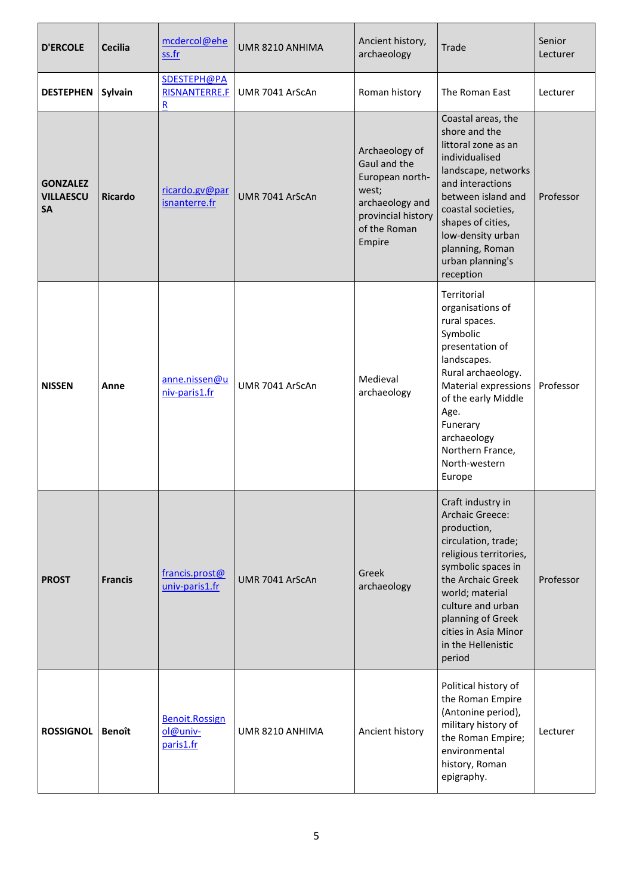| <b>D'ERCOLE</b>                                  | <b>Cecilia</b> | mcdercol@ehe<br>ss.fr                    | UMR 8210 ANHIMA | Ancient history,<br>archaeology                                                                                               | <b>Trade</b>                                                                                                                                                                                                                                                                | Senior<br>Lecturer |
|--------------------------------------------------|----------------|------------------------------------------|-----------------|-------------------------------------------------------------------------------------------------------------------------------|-----------------------------------------------------------------------------------------------------------------------------------------------------------------------------------------------------------------------------------------------------------------------------|--------------------|
| <b>DESTEPHEN</b>                                 | Sylvain        | SDESTEPH@PA<br><b>RISNANTERRE.F</b><br>R | UMR 7041 ArScAn | Roman history                                                                                                                 | The Roman East                                                                                                                                                                                                                                                              | Lecturer           |
| <b>GONZALEZ</b><br><b>VILLAESCU</b><br><b>SA</b> | <b>Ricardo</b> | ricardo.gv@par<br>isnanterre.fr          | UMR 7041 ArScAn | Archaeology of<br>Gaul and the<br>European north-<br>west;<br>archaeology and<br>provincial history<br>of the Roman<br>Empire | Coastal areas, the<br>shore and the<br>littoral zone as an<br>individualised<br>landscape, networks<br>and interactions<br>between island and<br>coastal societies,<br>shapes of cities,<br>low-density urban<br>planning, Roman<br>urban planning's<br>reception           | Professor          |
| <b>NISSEN</b>                                    | Anne           | anne.nissen@u<br>niv-paris1.fr           | UMR 7041 ArScAn | Medieval<br>archaeology                                                                                                       | Territorial<br>organisations of<br>rural spaces.<br>Symbolic<br>presentation of<br>landscapes.<br>Rural archaeology.<br>Material expressions<br>of the early Middle<br>Age.<br>Funerary<br>archaeology<br>Northern France,<br>North-western<br>Europe                       | Professor          |
| <b>PROST</b>                                     | <b>Francis</b> | francis.prost@<br>univ-paris1.fr         | UMR 7041 ArScAn | Greek<br>archaeology                                                                                                          | Craft industry in<br><b>Archaic Greece:</b><br>production,<br>circulation, trade;<br>religious territories,<br>symbolic spaces in<br>the Archaic Greek<br>world; material<br>culture and urban<br>planning of Greek<br>cities in Asia Minor<br>in the Hellenistic<br>period | Professor          |
| <b>ROSSIGNOL</b>                                 | Benoît         | Benoit.Rossign<br>ol@univ-<br>paris1.fr  | UMR 8210 ANHIMA | Ancient history                                                                                                               | Political history of<br>the Roman Empire<br>(Antonine period),<br>military history of<br>the Roman Empire;<br>environmental<br>history, Roman<br>epigraphy.                                                                                                                 | Lecturer           |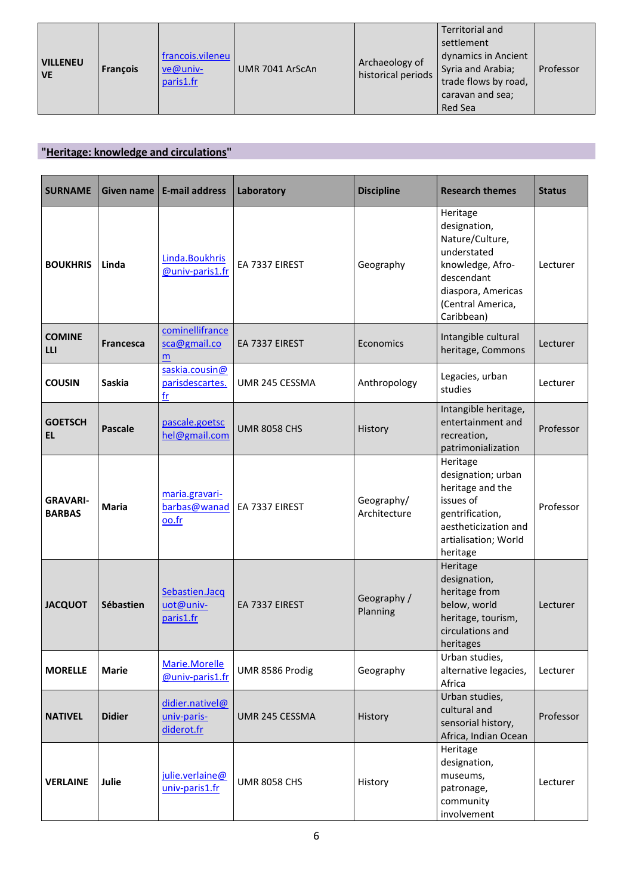| <b>VILLENEU</b><br><b>VE</b> | <b>Francois</b> | francois.vileneu<br>ve@univ-<br>paris1.fr | UMR 7041 ArScAn | Archaeology of<br>historical periods | Territorial and<br>settlement<br>dynamics in Ancient<br>Syria and Arabia;<br>trade flows by road,<br>caravan and sea;<br>Red Sea | Professor |
|------------------------------|-----------------|-------------------------------------------|-----------------|--------------------------------------|----------------------------------------------------------------------------------------------------------------------------------|-----------|
|------------------------------|-----------------|-------------------------------------------|-----------------|--------------------------------------|----------------------------------------------------------------------------------------------------------------------------------|-----------|

# **"Heritage: knowledge and circulations"**

| <b>SURNAME</b>                   |                  | Given name   E-mail address                  | Laboratory          | <b>Discipline</b>          | <b>Research themes</b>                                                                                                                                | <b>Status</b> |
|----------------------------------|------------------|----------------------------------------------|---------------------|----------------------------|-------------------------------------------------------------------------------------------------------------------------------------------------------|---------------|
| <b>BOUKHRIS</b>                  | Linda            | Linda.Boukhris<br>@univ-paris1.fr            | EA 7337 EIREST      | Geography                  | Heritage<br>designation,<br>Nature/Culture,<br>understated<br>knowledge, Afro-<br>descendant<br>diaspora, Americas<br>(Central America,<br>Caribbean) | Lecturer      |
| <b>COMINE</b><br>LLI             | <b>Francesca</b> | cominellifrance<br>sca@gmail.co<br>m         | EA 7337 EIREST      | Economics                  | Intangible cultural<br>heritage, Commons                                                                                                              | Lecturer      |
| <b>COUSIN</b>                    | <b>Saskia</b>    | saskia.cousin@<br>parisdescartes.<br>fr      | UMR 245 CESSMA      | Anthropology               | Legacies, urban<br>studies                                                                                                                            | Lecturer      |
| <b>GOETSCH</b><br>EL             | <b>Pascale</b>   | pascale.goetsc<br>hel@gmail.com              | <b>UMR 8058 CHS</b> | History                    | Intangible heritage,<br>entertainment and<br>recreation,<br>patrimonialization                                                                        | Professor     |
| <b>GRAVARI-</b><br><b>BARBAS</b> | Maria            | maria.gravari-<br>barbas@wanad<br>oo.fr      | EA 7337 EIREST      | Geography/<br>Architecture | Heritage<br>designation; urban<br>heritage and the<br>issues of<br>gentrification,<br>aestheticization and<br>artialisation; World<br>heritage        | Professor     |
| <b>JACQUOT</b>                   | <b>Sébastien</b> | Sebastien.Jacq<br>uot@univ-<br>paris1.fr     | EA 7337 EIREST      | Geography /<br>Planning    | Heritage<br>designation,<br>heritage from<br>below, world<br>heritage, tourism,<br>circulations and<br>heritages                                      | Lecturer      |
| <b>MORELLE</b>                   | <b>Marie</b>     | Marie.Morelle<br>@univ-paris1.fr             | UMR 8586 Prodig     | Geography                  | Urban studies,<br>alternative legacies,<br>Africa                                                                                                     | Lecturer      |
| <b>NATIVEL</b>                   | <b>Didier</b>    | didier.nativel@<br>univ-paris-<br>diderot.fr | UMR 245 CESSMA      | History                    | Urban studies,<br>cultural and<br>sensorial history,<br>Africa, Indian Ocean                                                                          | Professor     |
| <b>VERLAINE</b>                  | Julie            | julie.verlaine@<br>univ-paris1.fr            | <b>UMR 8058 CHS</b> | History                    | Heritage<br>designation,<br>museums,<br>patronage,<br>community<br>involvement                                                                        | Lecturer      |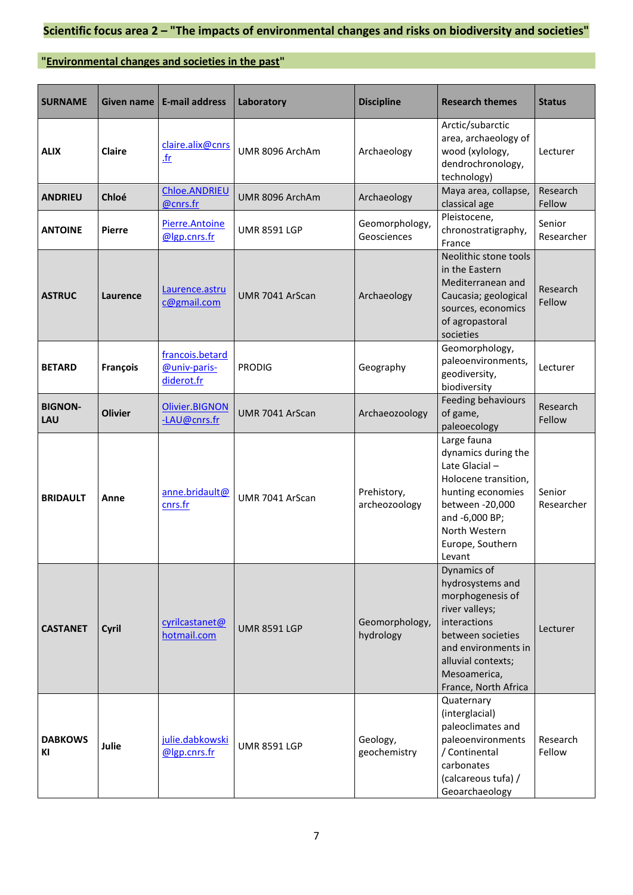# **Scientific focus area 2 – "The impacts of environmental changes and risks on biodiversity and societies"**

# **"Environmental changes and societies in the past"**

| <b>SURNAME</b>        | <b>Given name</b> | <b>E-mail address</b>                         | Laboratory          | <b>Discipline</b>             | <b>Research themes</b>                                                                                                                                                                          | <b>Status</b>        |
|-----------------------|-------------------|-----------------------------------------------|---------------------|-------------------------------|-------------------------------------------------------------------------------------------------------------------------------------------------------------------------------------------------|----------------------|
| <b>ALIX</b>           | Claire            | claire.alix@cnrs<br>$.$ fr                    | UMR 8096 ArchAm     | Archaeology                   | Arctic/subarctic<br>area, archaeology of<br>wood (xylology,<br>dendrochronology,<br>technology)                                                                                                 | Lecturer             |
| <b>ANDRIEU</b>        | Chloé             | <b>Chloe.ANDRIEU</b><br>@cnrs.fr              | UMR 8096 ArchAm     | Archaeology                   | Maya area, collapse,<br>classical age                                                                                                                                                           | Research<br>Fellow   |
| <b>ANTOINE</b>        | <b>Pierre</b>     | Pierre.Antoine<br>@lgp.cnrs.fr                | <b>UMR 8591 LGP</b> | Geomorphology,<br>Geosciences | Pleistocene,<br>chronostratigraphy,<br>France                                                                                                                                                   | Senior<br>Researcher |
| <b>ASTRUC</b>         | Laurence          | Laurence.astru<br>c@gmail.com                 | UMR 7041 ArScan     | Archaeology                   | Neolithic stone tools<br>in the Eastern<br>Mediterranean and<br>Caucasia; geological<br>sources, economics<br>of agropastoral<br>societies                                                      | Research<br>Fellow   |
| <b>BETARD</b>         | François          | francois.betard<br>@univ-paris-<br>diderot.fr | <b>PRODIG</b>       | Geography                     | Geomorphology,<br>paleoenvironments,<br>geodiversity,<br>biodiversity                                                                                                                           | Lecturer             |
| <b>BIGNON-</b><br>LAU | <b>Olivier</b>    | Olivier.BIGNON<br>-LAU@cnrs.fr                | UMR 7041 ArScan     | Archaeozoology                | Feeding behaviours<br>of game,<br>paleoecology                                                                                                                                                  | Research<br>Fellow   |
| <b>BRIDAULT</b>       | Anne              | anne.bridault@<br>cnrs.fr                     | UMR 7041 ArScan     | Prehistory,<br>archeozoology  | Large fauna<br>dynamics during the<br>Late Glacial-<br>Holocene transition,<br>hunting economies<br>between -20,000<br>and -6,000 BP;<br>North Western<br>Europe, Southern<br>Levant            | Senior<br>Researcher |
| <b>CASTANET</b>       | Cyril             | cyrilcastanet@<br>hotmail.com                 | <b>UMR 8591 LGP</b> | Geomorphology,<br>hydrology   | Dynamics of<br>hydrosystems and<br>morphogenesis of<br>river valleys;<br>interactions<br>between societies<br>and environments in<br>alluvial contexts;<br>Mesoamerica,<br>France, North Africa | Lecturer             |
| <b>DABKOWS</b><br>ΚI  | Julie             | julie.dabkowski<br>@lgp.cnrs.fr               | <b>UMR 8591 LGP</b> | Geology,<br>geochemistry      | Quaternary<br>(interglacial)<br>paleoclimates and<br>paleoenvironments<br>/ Continental<br>carbonates<br>(calcareous tufa) /<br>Geoarchaeology                                                  | Research<br>Fellow   |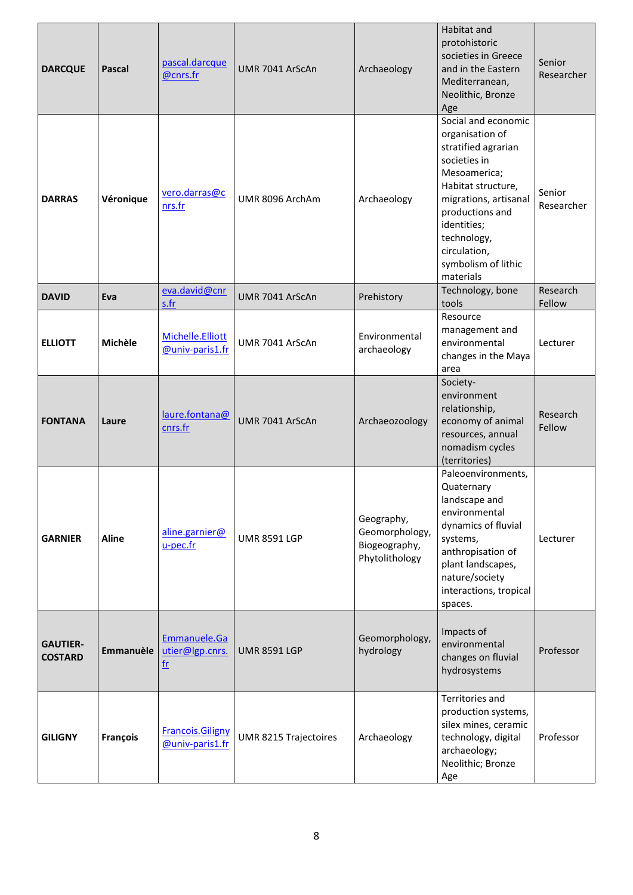| <b>DARCQUE</b>                    | <b>Pascal</b>    | pascal.darcque<br>@cnrs.fr                        | UMR 7041 ArScAn       | Archaeology                                                     | Habitat and<br>protohistoric<br>societies in Greece<br>and in the Eastern<br>Mediterranean,<br>Neolithic, Bronze<br>Age                                                                                                                           | Senior<br>Researcher |
|-----------------------------------|------------------|---------------------------------------------------|-----------------------|-----------------------------------------------------------------|---------------------------------------------------------------------------------------------------------------------------------------------------------------------------------------------------------------------------------------------------|----------------------|
| <b>DARRAS</b>                     | Véronique        | vero.darras@c<br>nrs.fr                           | UMR 8096 ArchAm       | Archaeology                                                     | Social and economic<br>organisation of<br>stratified agrarian<br>societies in<br>Mesoamerica;<br>Habitat structure,<br>migrations, artisanal<br>productions and<br>identities;<br>technology,<br>circulation,<br>symbolism of lithic<br>materials | Senior<br>Researcher |
| <b>DAVID</b>                      | Eva              | eva.david@cnr<br>s.fr                             | UMR 7041 ArScAn       | Prehistory                                                      | Technology, bone<br>tools                                                                                                                                                                                                                         | Research<br>Fellow   |
| <b>ELLIOTT</b>                    | Michèle          | Michelle.Elliott<br>@univ-paris1.fr               | UMR 7041 ArScAn       | Environmental<br>archaeology                                    | Resource<br>management and<br>environmental<br>changes in the Maya<br>area                                                                                                                                                                        | Lecturer             |
| <b>FONTANA</b>                    | Laure            | laure.fontana@<br>cnrs.fr                         | UMR 7041 ArScAn       | Archaeozoology                                                  | Society-<br>environment<br>relationship,<br>economy of animal<br>resources, annual<br>nomadism cycles<br>(territories)                                                                                                                            | Research<br>Fellow   |
| <b>GARNIER</b>                    | <b>Aline</b>     | aline.garnier@<br>u-pec.fr                        | <b>UMR 8591 LGP</b>   | Geography,<br>Geomorphology,<br>Biogeography,<br>Phytolithology | Paleoenvironments,<br>Quaternary<br>landscape and<br>environmental<br>dynamics of fluvial<br>systems,<br>anthropisation of<br>plant landscapes,<br>nature/society<br>interactions, tropical<br>spaces.                                            | Lecturer             |
| <b>GAUTIER-</b><br><b>COSTARD</b> | <b>Emmanuèle</b> | Emmanuele.Ga<br>utier@lgp.cnrs.<br>f <sub>r</sub> | <b>UMR 8591 LGP</b>   | Geomorphology,<br>hydrology                                     | Impacts of<br>environmental<br>changes on fluvial<br>hydrosystems                                                                                                                                                                                 | Professor            |
| <b>GILIGNY</b>                    | François         | <b>Francois.Giligny</b><br>@univ-paris1.fr        | UMR 8215 Trajectoires | Archaeology                                                     | Territories and<br>production systems,<br>silex mines, ceramic<br>technology, digital<br>archaeology;<br>Neolithic; Bronze<br>Age                                                                                                                 | Professor            |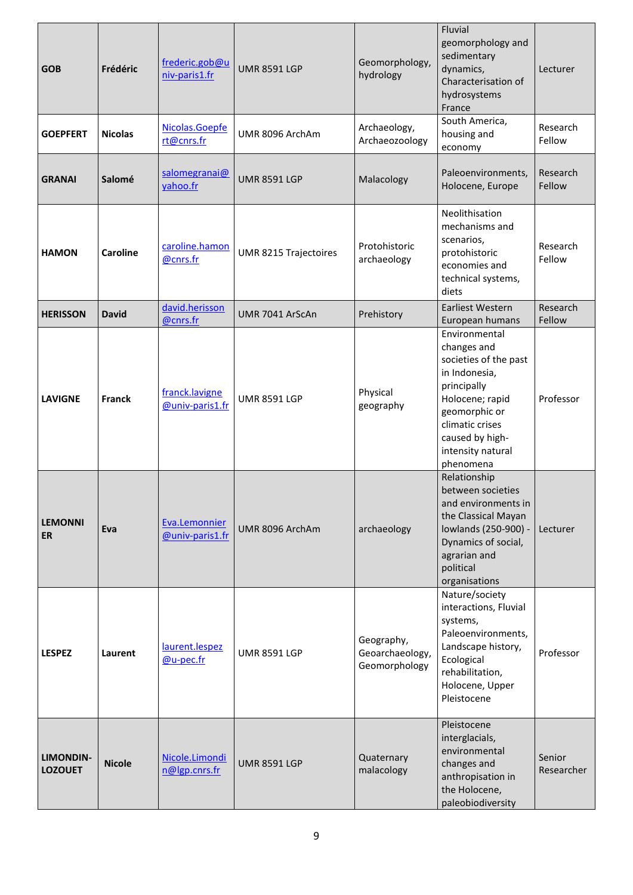| GOB                                | Frédéric       | frederic.gob@u<br>niv-paris1.fr   | <b>UMR 8591 LGP</b>   | Geomorphology,<br>hydrology                    | Fluvial<br>geomorphology and<br>sedimentary<br>dynamics,<br>Characterisation of<br>hydrosystems<br>France                                                                                         | Lecturer             |
|------------------------------------|----------------|-----------------------------------|-----------------------|------------------------------------------------|---------------------------------------------------------------------------------------------------------------------------------------------------------------------------------------------------|----------------------|
| <b>GOEPFERT</b>                    | <b>Nicolas</b> | Nicolas.Goepfe<br>rt@cnrs.fr      | UMR 8096 ArchAm       | Archaeology,<br>Archaeozoology                 | South America,<br>housing and<br>economy                                                                                                                                                          | Research<br>Fellow   |
| <b>GRANAI</b>                      | Salomé         | salomegranai@<br>yahoo.fr         | <b>UMR 8591 LGP</b>   | Malacology                                     | Paleoenvironments,<br>Holocene, Europe                                                                                                                                                            | Research<br>Fellow   |
| <b>HAMON</b>                       | Caroline       | caroline.hamon<br>@cnrs.fr        | UMR 8215 Trajectoires | Protohistoric<br>archaeology                   | Neolithisation<br>mechanisms and<br>scenarios,<br>protohistoric<br>economies and<br>technical systems,<br>diets                                                                                   | Research<br>Fellow   |
| <b>HERISSON</b>                    | <b>David</b>   | david.herisson<br>@cnrs.fr        | UMR 7041 ArScAn       | Prehistory                                     | Earliest Western<br>European humans                                                                                                                                                               | Research<br>Fellow   |
| <b>LAVIGNE</b>                     | <b>Franck</b>  | franck.lavigne<br>@univ-paris1.fr | <b>UMR 8591 LGP</b>   | Physical<br>geography                          | Environmental<br>changes and<br>societies of the past<br>in Indonesia,<br>principally<br>Holocene; rapid<br>geomorphic or<br>climatic crises<br>caused by high-<br>intensity natural<br>phenomena | Professor            |
| <b>LEMONNI</b><br>ER               | Eva            | Eva.Lemonnier<br>@univ-paris1.fr  | UMR 8096 ArchAm       | archaeology                                    | Relationship<br>between societies<br>and environments in<br>the Classical Mayan<br>lowlands (250-900) -<br>Dynamics of social,<br>agrarian and<br>political<br>organisations                      | Lecturer             |
| <b>LESPEZ</b>                      | Laurent        | laurent.lespez<br>@u-pec.fr       | <b>UMR 8591 LGP</b>   | Geography,<br>Geoarchaeology,<br>Geomorphology | Nature/society<br>interactions, Fluvial<br>systems,<br>Paleoenvironments,<br>Landscape history,<br>Ecological<br>rehabilitation,<br>Holocene, Upper<br>Pleistocene                                | Professor            |
| <b>LIMONDIN-</b><br><b>LOZOUET</b> | <b>Nicole</b>  | Nicole.Limondi<br>n@lgp.cnrs.fr   | <b>UMR 8591 LGP</b>   | Quaternary<br>malacology                       | Pleistocene<br>interglacials,<br>environmental<br>changes and<br>anthropisation in<br>the Holocene,<br>paleobiodiversity                                                                          | Senior<br>Researcher |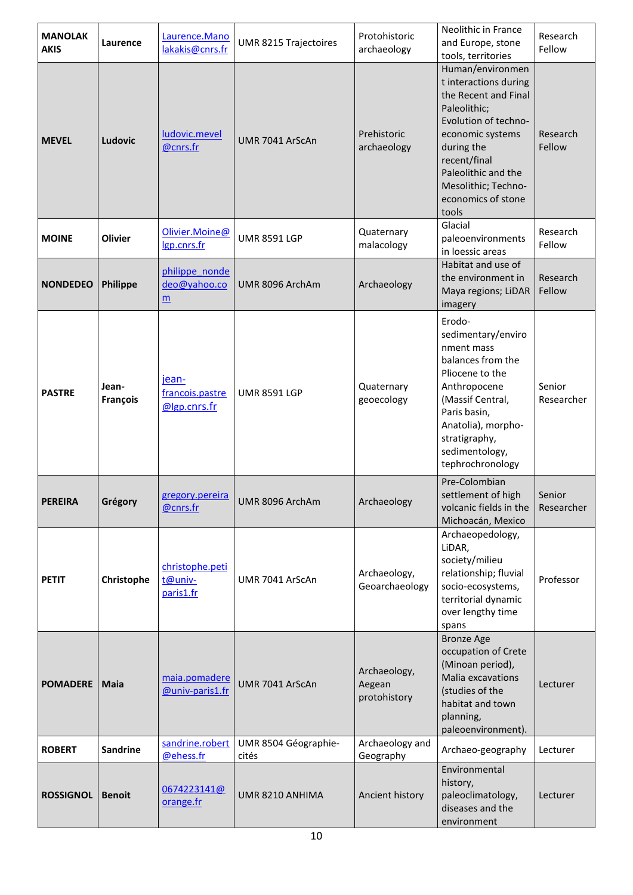| <b>MANOLAK</b><br><b>AKIS</b> | Laurence                 | Laurence.Mano<br>lakakis@cnrs.fr         | UMR 8215 Trajectoires         | Protohistoric<br>archaeology           | <b>Neolithic in France</b><br>and Europe, stone<br>tools, territories                                                                                                                                                                    | Research<br>Fellow   |
|-------------------------------|--------------------------|------------------------------------------|-------------------------------|----------------------------------------|------------------------------------------------------------------------------------------------------------------------------------------------------------------------------------------------------------------------------------------|----------------------|
| <b>MEVEL</b>                  | Ludovic                  | ludovic.mevel<br>@cnrs.fr                | UMR 7041 ArScAn               | Prehistoric<br>archaeology             | Human/environmen<br>t interactions during<br>the Recent and Final<br>Paleolithic;<br>Evolution of techno-<br>economic systems<br>during the<br>recent/final<br>Paleolithic and the<br>Mesolithic; Techno-<br>economics of stone<br>tools | Research<br>Fellow   |
| <b>MOINE</b>                  | <b>Olivier</b>           | Olivier.Moine@<br>Igp.cnrs.fr            | <b>UMR 8591 LGP</b>           | Quaternary<br>malacology               | Glacial<br>paleoenvironments<br>in loessic areas                                                                                                                                                                                         | Research<br>Fellow   |
| <b>NONDEDEO</b>               | <b>Philippe</b>          | philippe nonde<br>deo@yahoo.co<br>m      | UMR 8096 ArchAm               | Archaeology                            | Habitat and use of<br>the environment in<br>Maya regions; LiDAR<br>imagery                                                                                                                                                               | Research<br>Fellow   |
| <b>PASTRE</b>                 | Jean-<br><b>François</b> | jean-<br>francois.pastre<br>@lgp.cnrs.fr | <b>UMR 8591 LGP</b>           | Quaternary<br>geoecology               | Erodo-<br>sedimentary/enviro<br>nment mass<br>balances from the<br>Pliocene to the<br>Anthropocene<br>(Massif Central,<br>Paris basin,<br>Anatolia), morpho-<br>stratigraphy,<br>sedimentology,<br>tephrochronology                      | Senior<br>Researcher |
| <b>PEREIRA</b>                | Grégory                  | gregory.pereira<br>@cnrs.fr              | UMR 8096 ArchAm               | Archaeology                            | Pre-Colombian<br>settlement of high<br>volcanic fields in the<br>Michoacán, Mexico                                                                                                                                                       | Senior<br>Researcher |
| <b>PETIT</b>                  | Christophe               | christophe.peti<br>t@univ-<br>paris1.fr  | UMR 7041 ArScAn               | Archaeology,<br>Geoarchaeology         | Archaeopedology,<br>LiDAR,<br>society/milieu<br>relationship; fluvial<br>socio-ecosystems,<br>territorial dynamic<br>over lengthy time<br>spans                                                                                          | Professor            |
| <b>POMADERE</b>               | Maia                     | maia.pomadere<br>@univ-paris1.fr         | UMR 7041 ArScAn               | Archaeology,<br>Aegean<br>protohistory | <b>Bronze Age</b><br>occupation of Crete<br>(Minoan period),<br>Malia excavations<br>(studies of the<br>habitat and town<br>planning,<br>paleoenvironment).                                                                              | Lecturer             |
| <b>ROBERT</b>                 | <b>Sandrine</b>          | sandrine.robert<br>@ehess.fr             | UMR 8504 Géographie-<br>cités | Archaeology and<br>Geography           | Archaeo-geography                                                                                                                                                                                                                        | Lecturer             |
| <b>ROSSIGNOL</b>              | <b>Benoit</b>            | 0674223141@<br>orange.fr                 | UMR 8210 ANHIMA               | Ancient history                        | Environmental<br>history,<br>paleoclimatology,<br>diseases and the<br>environment                                                                                                                                                        | Lecturer             |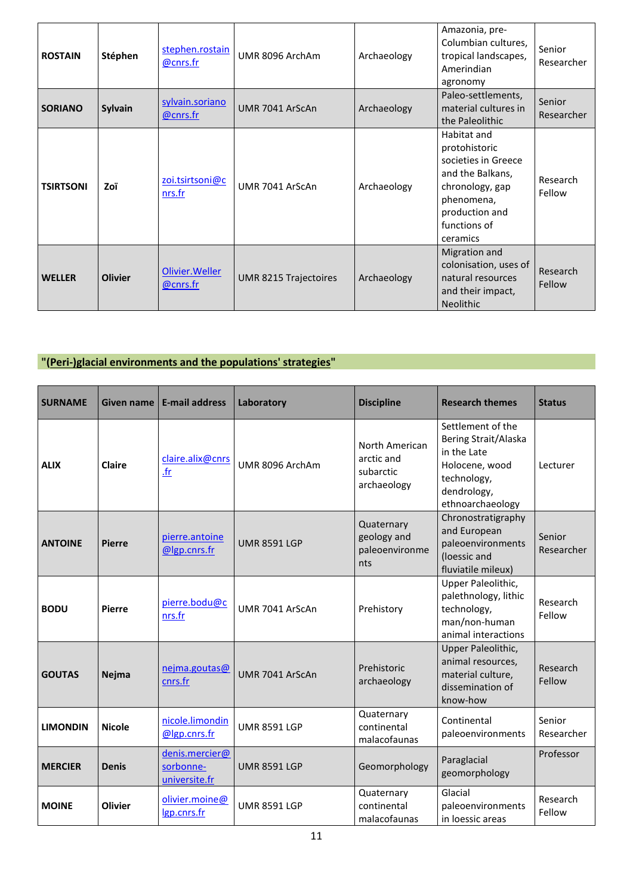| <b>ROSTAIN</b>   | Stéphen        | stephen.rostain<br>@cnrs.fr | UMR 8096 ArchAm       | Archaeology | Amazonia, pre-<br>Columbian cultures,<br>tropical landscapes,<br>Amerindian<br>agronomy                                                                | Senior<br>Researcher |
|------------------|----------------|-----------------------------|-----------------------|-------------|--------------------------------------------------------------------------------------------------------------------------------------------------------|----------------------|
| <b>SORIANO</b>   | <b>Sylvain</b> | sylvain.soriano<br>@cnrs.fr | UMR 7041 ArScAn       | Archaeology | Paleo-settlements,<br>material cultures in<br>the Paleolithic                                                                                          | Senior<br>Researcher |
| <b>TSIRTSONI</b> | Zoï            | zoi.tsirtsoni@c<br>nrs.fr   | UMR 7041 ArScAn       | Archaeology | Habitat and<br>protohistoric<br>societies in Greece<br>and the Balkans,<br>chronology, gap<br>phenomena,<br>production and<br>functions of<br>ceramics | Research<br>Fellow   |
| <b>WELLER</b>    | <b>Olivier</b> | Olivier. Weller<br>@cnrs.fr | UMR 8215 Trajectoires | Archaeology | Migration and<br>colonisation, uses of<br>natural resources<br>and their impact,<br><b>Neolithic</b>                                                   | Research<br>Fellow   |

# **"(Peri-)glacial environments and the populations' strategies"**

| <b>SURNAME</b>  | Given name     | <b>E-mail address</b>                        | Laboratory          | <b>Discipline</b>                                        | <b>Research themes</b>                                                                                                       | <b>Status</b>        |
|-----------------|----------------|----------------------------------------------|---------------------|----------------------------------------------------------|------------------------------------------------------------------------------------------------------------------------------|----------------------|
| <b>ALIX</b>     | Claire         | claire.alix@cnrs<br>$.$ fr                   | UMR 8096 ArchAm     | North American<br>arctic and<br>subarctic<br>archaeology | Settlement of the<br>Bering Strait/Alaska<br>in the Late<br>Holocene, wood<br>technology,<br>dendrology,<br>ethnoarchaeology | Lecturer             |
| <b>ANTOINE</b>  | <b>Pierre</b>  | pierre.antoine<br>@lgp.cnrs.fr               | <b>UMR 8591 LGP</b> | Quaternary<br>geology and<br>paleoenvironme<br>nts       | Chronostratigraphy<br>and European<br>paleoenvironments<br>(loessic and<br>fluviatile mileux)                                | Senior<br>Researcher |
| <b>BODU</b>     | <b>Pierre</b>  | pierre.bodu@c<br>nrs.fr                      | UMR 7041 ArScAn     | Prehistory                                               | Upper Paleolithic,<br>palethnology, lithic<br>technology,<br>man/non-human<br>animal interactions                            | Research<br>Fellow   |
| <b>GOUTAS</b>   | <b>Nejma</b>   | nejma.goutas@<br>cnrs.fr                     | UMR 7041 ArScAn     | Prehistoric<br>archaeology                               | Upper Paleolithic,<br>animal resources,<br>material culture,<br>dissemination of<br>know-how                                 | Research<br>Fellow   |
| <b>LIMONDIN</b> | <b>Nicole</b>  | nicole.limondin<br>@lgp.cnrs.fr              | <b>UMR 8591 LGP</b> | Quaternary<br>continental<br>malacofaunas                | Continental<br>paleoenvironments                                                                                             | Senior<br>Researcher |
| <b>MERCIER</b>  | <b>Denis</b>   | denis.mercier@<br>sorbonne-<br>universite.fr | <b>UMR 8591 LGP</b> | Geomorphology                                            | Paraglacial<br>geomorphology                                                                                                 | Professor            |
| <b>MOINE</b>    | <b>Olivier</b> | olivier.moine@<br>Igp.cnrs.fr                | <b>UMR 8591 LGP</b> | Quaternary<br>continental<br>malacofaunas                | Glacial<br>paleoenvironments<br>in loessic areas                                                                             | Research<br>Fellow   |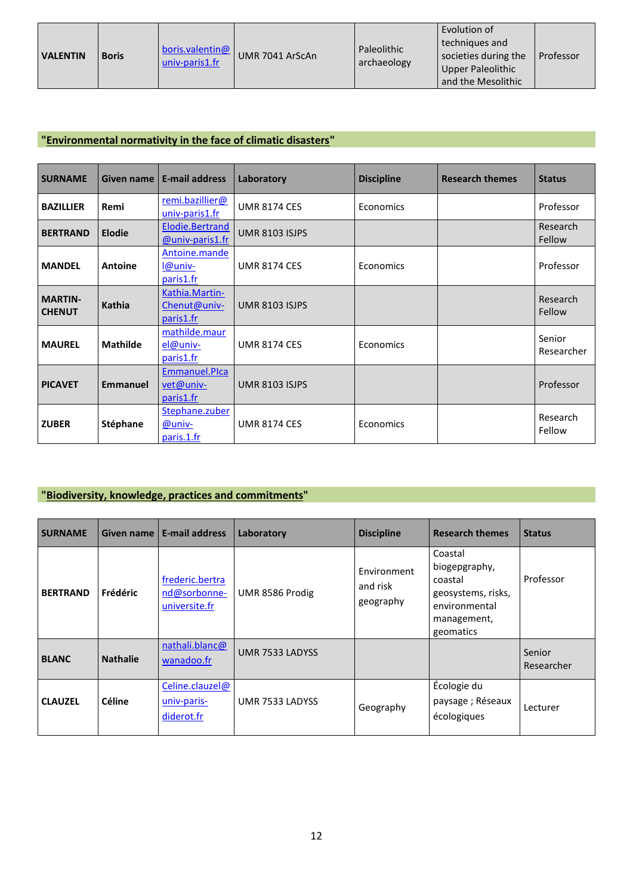| <b>VALENTIN</b> | <b>Boris</b> | boris.valentin@<br>univ-paris1.fr | UMR 7041 ArScAn | Paleolithic<br>archaeology | Evolution of<br>I techniques and<br>societies during the<br>Upper Paleolithic<br>and the Mesolithic | Professor |
|-----------------|--------------|-----------------------------------|-----------------|----------------------------|-----------------------------------------------------------------------------------------------------|-----------|
|-----------------|--------------|-----------------------------------|-----------------|----------------------------|-----------------------------------------------------------------------------------------------------|-----------|

# **"Environmental normativity in the face of climatic disasters"**

| <b>SURNAME</b>                  | Given name      | <b>E-mail address</b>                       | Laboratory            | <b>Discipline</b> | <b>Research themes</b> | <b>Status</b>        |
|---------------------------------|-----------------|---------------------------------------------|-----------------------|-------------------|------------------------|----------------------|
| <b>BAZILLIER</b>                | Remi            | remi.bazillier@<br>univ-paris1.fr           | <b>UMR 8174 CES</b>   | Economics         |                        | Professor            |
| <b>BERTRAND</b>                 | <b>Elodie</b>   | Elodie.Bertrand<br>@univ-paris1.fr          | <b>UMR 8103 ISJPS</b> |                   |                        | Research<br>Fellow   |
| <b>MANDEL</b>                   | Antoine         | Antoine.mande<br>l@univ-<br>paris1.fr       | <b>UMR 8174 CES</b>   | Economics         |                        | Professor            |
| <b>MARTIN-</b><br><b>CHENUT</b> | Kathia          | Kathia.Martin-<br>Chenut@univ-<br>paris1.fr | <b>UMR 8103 ISJPS</b> |                   |                        | Research<br>Fellow   |
| <b>MAUREL</b>                   | <b>Mathilde</b> | mathilde.maur<br>el@univ-<br>paris1.fr      | <b>UMR 8174 CES</b>   | Economics         |                        | Senior<br>Researcher |
| <b>PICAVET</b>                  | <b>Emmanuel</b> | Emmanuel.Plca<br>vet@univ-<br>paris1.fr     | <b>UMR 8103 ISJPS</b> |                   |                        | Professor            |
| <b>ZUBER</b>                    | Stéphane        | Stephane.zuber<br>@univ-<br>paris.1.fr      | <b>UMR 8174 CES</b>   | Economics         |                        | Research<br>Fellow   |

### **"Biodiversity, knowledge, practices and commitments"**

| <b>SURNAME</b>  | Given name l    | <b>E-mail address</b>                            | Laboratory      | <b>Discipline</b>                    | <b>Research themes</b>                                                                                 | <b>Status</b>        |
|-----------------|-----------------|--------------------------------------------------|-----------------|--------------------------------------|--------------------------------------------------------------------------------------------------------|----------------------|
| <b>BERTRAND</b> | Frédéric        | frederic.bertra<br>nd@sorbonne-<br>universite.fr | UMR 8586 Prodig | Environment<br>and risk<br>geography | Coastal<br>biogepgraphy,<br>coastal<br>geosystems, risks,<br>environmental<br>management,<br>geomatics | Professor            |
| <b>BLANC</b>    | <b>Nathalie</b> | nathali.blanc@<br>wanadoo.fr                     | UMR 7533 LADYSS |                                      |                                                                                                        | Senior<br>Researcher |
| <b>CLAUZEL</b>  | Céline          | Celine.clauzel@<br>univ-paris-<br>diderot.fr     | UMR 7533 LADYSS | Geography                            | Écologie du<br>paysage; Réseaux<br>écologiques                                                         | Lecturer             |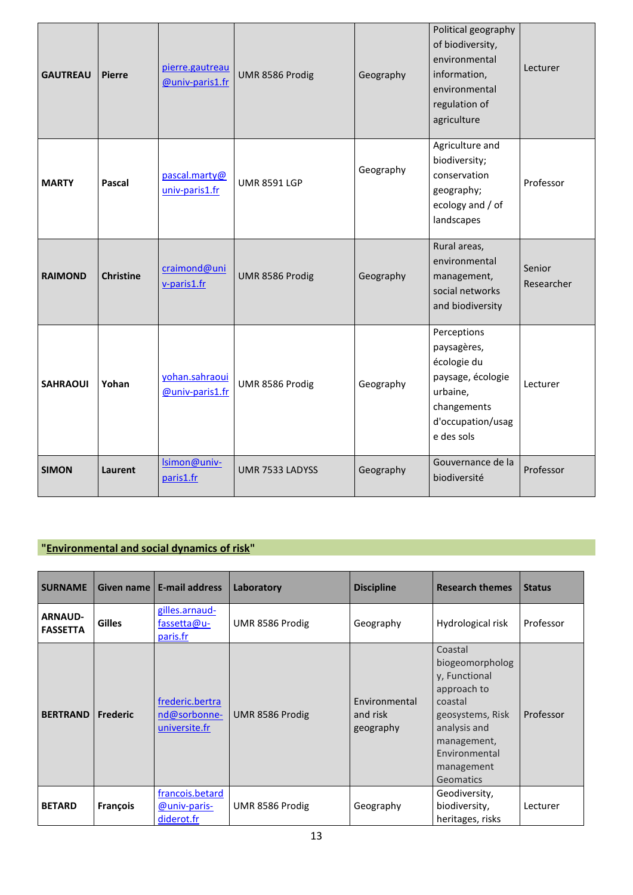| <b>GAUTREAU</b> | <b>Pierre</b>    | pierre.gautreau<br>@univ-paris1.fr | UMR 8586 Prodig     | Geography | Political geography<br>of biodiversity,<br>environmental<br>information,<br>environmental<br>regulation of<br>agriculture    | Lecturer             |
|-----------------|------------------|------------------------------------|---------------------|-----------|------------------------------------------------------------------------------------------------------------------------------|----------------------|
| <b>MARTY</b>    | Pascal           | pascal.marty@<br>univ-paris1.fr    | <b>UMR 8591 LGP</b> | Geography | Agriculture and<br>biodiversity;<br>conservation<br>geography;<br>ecology and / of<br>landscapes                             | Professor            |
| <b>RAIMOND</b>  | <b>Christine</b> | craimond@uni<br>v-paris1.fr        | UMR 8586 Prodig     | Geography | Rural areas,<br>environmental<br>management,<br>social networks<br>and biodiversity                                          | Senior<br>Researcher |
| <b>SAHRAOUI</b> | Yohan            | yohan.sahraoui<br>@univ-paris1.fr  | UMR 8586 Prodig     | Geography | Perceptions<br>paysagères,<br>écologie du<br>paysage, écologie<br>urbaine,<br>changements<br>d'occupation/usag<br>e des sols | Lecturer             |
| <b>SIMON</b>    | Laurent          | Isimon@univ-<br>paris1.fr          | UMR 7533 LADYSS     | Geography | Gouvernance de la<br>biodiversité                                                                                            | Professor            |

# **"Environmental and social dynamics of risk"**

| <b>SURNAME</b>                    |                 | Given name   E-mail address                      | Laboratory      | <b>Discipline</b>                      | <b>Research themes</b>                                                                                                                                               | <b>Status</b> |
|-----------------------------------|-----------------|--------------------------------------------------|-----------------|----------------------------------------|----------------------------------------------------------------------------------------------------------------------------------------------------------------------|---------------|
| <b>ARNAUD-</b><br><b>FASSETTA</b> | <b>Gilles</b>   | gilles.arnaud-<br>fassetta@u-<br>paris.fr        | UMR 8586 Prodig | Geography                              | Hydrological risk                                                                                                                                                    | Professor     |
| <b>BERTRAND</b>                   | <b>Frederic</b> | frederic.bertra<br>nd@sorbonne-<br>universite.fr | UMR 8586 Prodig | Environmental<br>and risk<br>geography | Coastal<br>biogeomorpholog<br>y, Functional<br>approach to<br>coastal<br>geosystems, Risk<br>analysis and<br>management,<br>Environmental<br>management<br>Geomatics | Professor     |
| <b>BETARD</b>                     | <b>François</b> | francois.betard<br>@univ-paris-<br>diderot.fr    | UMR 8586 Prodig | Geography                              | Geodiversity,<br>biodiversity,<br>heritages, risks                                                                                                                   | Lecturer      |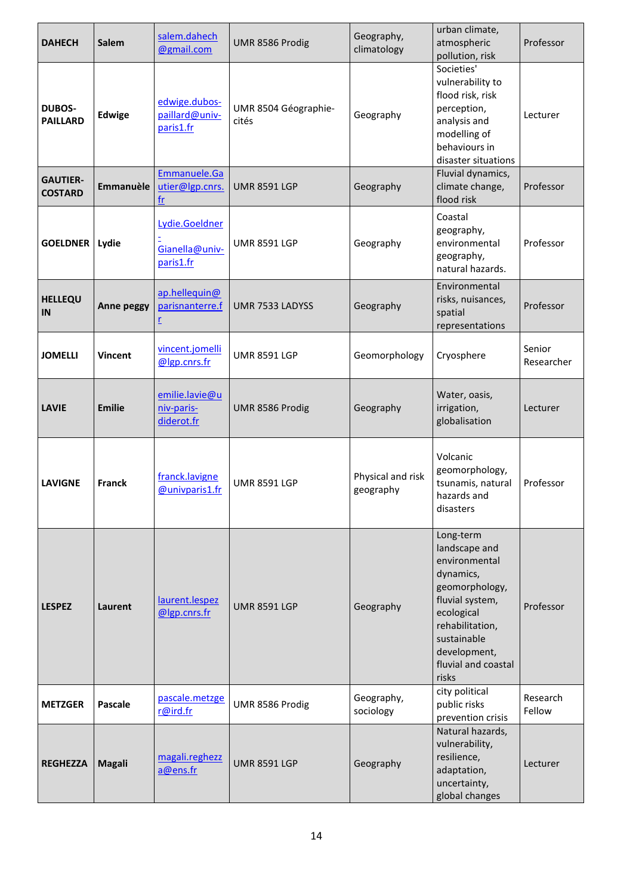| <b>DAHECH</b>                     | <b>Salem</b>     | salem.dahech<br>@gmail.com                    | UMR 8586 Prodig               | Geography,<br>climatology      | urban climate,<br>atmospheric<br>pollution, risk                                                                                                                                              | Professor            |
|-----------------------------------|------------------|-----------------------------------------------|-------------------------------|--------------------------------|-----------------------------------------------------------------------------------------------------------------------------------------------------------------------------------------------|----------------------|
| <b>DUBOS-</b><br><b>PAILLARD</b>  | <b>Edwige</b>    | edwige.dubos-<br>paillard@univ-<br>paris1.fr  | UMR 8504 Géographie-<br>cités | Geography                      | Societies'<br>vulnerability to<br>flood risk, risk<br>perception,<br>analysis and<br>modelling of<br>behaviours in<br>disaster situations                                                     | Lecturer             |
| <b>GAUTIER-</b><br><b>COSTARD</b> | <b>Emmanuèle</b> | Emmanuele.Ga<br>utier@lgp.cnrs.<br>fr         | <b>UMR 8591 LGP</b>           | Geography                      | Fluvial dynamics,<br>climate change,<br>flood risk                                                                                                                                            | Professor            |
| <b>GOELDNER</b>                   | Lydie            | Lydie.Goeldner<br>Gianella@univ-<br>paris1.fr | <b>UMR 8591 LGP</b>           | Geography                      | Coastal<br>geography,<br>environmental<br>geography,<br>natural hazards.                                                                                                                      | Professor            |
| <b>HELLEQU</b><br>IN              | Anne peggy       | ap.hellequin@<br>parisnanterre.f<br>r         | UMR 7533 LADYSS               | Geography                      | Environmental<br>risks, nuisances,<br>spatial<br>representations                                                                                                                              | Professor            |
| <b>JOMELLI</b>                    | Vincent          | vincent.jomelli<br>@lgp.cnrs.fr               | <b>UMR 8591 LGP</b>           | Geomorphology                  | Cryosphere                                                                                                                                                                                    | Senior<br>Researcher |
| <b>LAVIE</b>                      | <b>Emilie</b>    | emilie.lavie@u<br>niv-paris-<br>diderot.fr    | UMR 8586 Prodig               | Geography                      | Water, oasis,<br>irrigation,<br>globalisation                                                                                                                                                 | Lecturer             |
| <b>LAVIGNE</b>                    | <b>Franck</b>    | franck.lavigne<br>@univparis1.fr              | <b>UMR 8591 LGP</b>           | Physical and risk<br>geography | Volcanic<br>geomorphology,<br>tsunamis, natural<br>hazards and<br>disasters                                                                                                                   | Professor            |
| <b>LESPEZ</b>                     | Laurent          | laurent.lespez<br>@lgp.cnrs.fr                | <b>UMR 8591 LGP</b>           | Geography                      | Long-term<br>landscape and<br>environmental<br>dynamics,<br>geomorphology,<br>fluvial system,<br>ecological<br>rehabilitation,<br>sustainable<br>development,<br>fluvial and coastal<br>risks | Professor            |
| <b>METZGER</b>                    | Pascale          | pascale.metzge<br>r@ird.fr                    | UMR 8586 Prodig               | Geography,<br>sociology        | city political<br>public risks<br>prevention crisis                                                                                                                                           | Research<br>Fellow   |
| <b>REGHEZZA</b>                   | <b>Magali</b>    | magali.reghezz<br>a@ens.fr                    | <b>UMR 8591 LGP</b>           | Geography                      | Natural hazards,<br>vulnerability,<br>resilience,<br>adaptation,<br>uncertainty,<br>global changes                                                                                            | Lecturer             |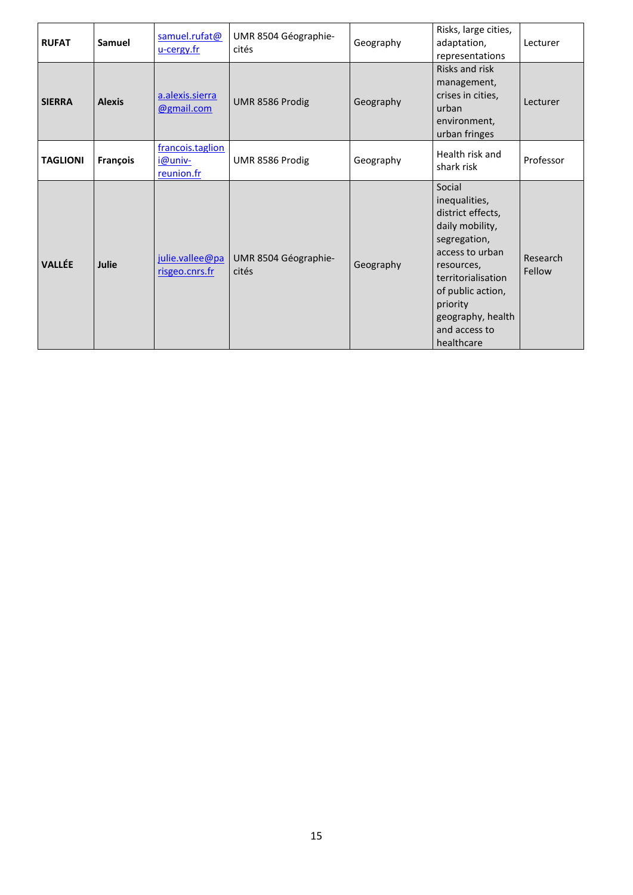| <b>RUFAT</b>    | Samuel        | samuel.rufat@<br><u>u-cergy.fr</u>        | UMR 8504 Géographie-<br>cités | Geography | Risks, large cities,<br>adaptation,<br>representations                                                                                                                                                                      | Lecturer           |
|-----------------|---------------|-------------------------------------------|-------------------------------|-----------|-----------------------------------------------------------------------------------------------------------------------------------------------------------------------------------------------------------------------------|--------------------|
| <b>SIERRA</b>   | <b>Alexis</b> | a.alexis.sierra<br>@gmail.com             | UMR 8586 Prodig               | Geography | Risks and risk<br>management,<br>crises in cities,<br>urban<br>environment,<br>urban fringes                                                                                                                                | Lecturer           |
| <b>TAGLIONI</b> | François      | francois.taglion<br>i@univ-<br>reunion.fr | UMR 8586 Prodig               | Geography | Health risk and<br>shark risk                                                                                                                                                                                               | Professor          |
| <b>VALLÉE</b>   | Julie         | julie.vallee@pa<br><u>risgeo.cnrs.fr</u>  | UMR 8504 Géographie-<br>cités | Geography | Social<br>inequalities,<br>district effects,<br>daily mobility,<br>segregation,<br>access to urban<br>resources,<br>territorialisation<br>of public action,<br>priority<br>geography, health<br>and access to<br>healthcare | Research<br>Fellow |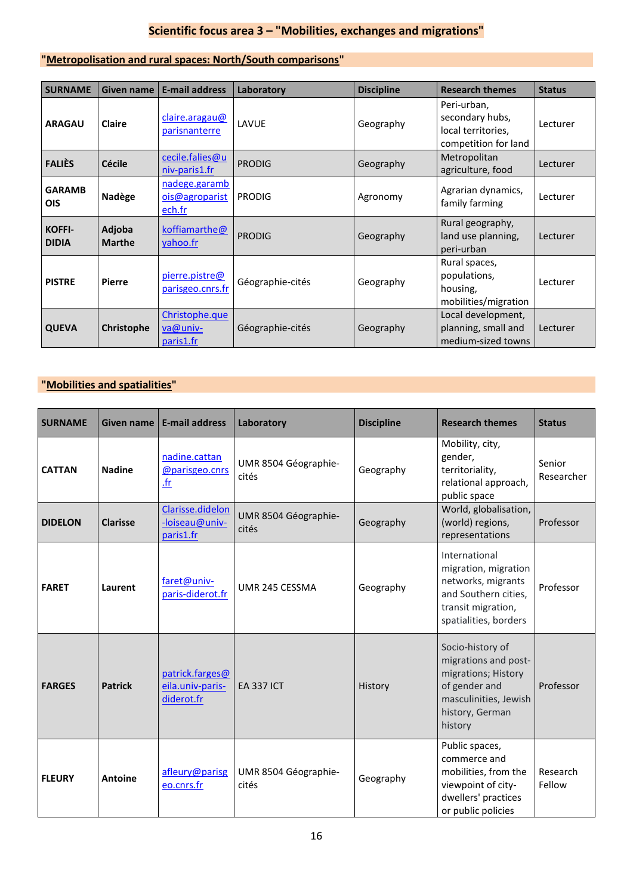# **Scientific focus area 3 – "Mobilities, exchanges and migrations"**

| <b>SURNAME</b>                | Given name              | <b>E-mail address</b>                     | Laboratory       | <b>Discipline</b> | <b>Research themes</b>                                                       | <b>Status</b> |
|-------------------------------|-------------------------|-------------------------------------------|------------------|-------------------|------------------------------------------------------------------------------|---------------|
| <b>ARAGAU</b>                 | <b>Claire</b>           | claire.aragau@<br>parisnanterre           | LAVUE            | Geography         | Peri-urban,<br>secondary hubs,<br>local territories,<br>competition for land | Lecturer      |
| <b>FALIÈS</b>                 | <b>Cécile</b>           | cecile.falies@u<br>niv-paris1.fr          | <b>PRODIG</b>    | Geography         | Metropolitan<br>agriculture, food                                            | Lecturer      |
| <b>GARAMB</b><br>OIS          | Nadège                  | nadege.garamb<br>ois@agroparist<br>ech.fr | <b>PRODIG</b>    | Agronomy          | Agrarian dynamics,<br>family farming                                         | Lecturer      |
| <b>KOFFI-</b><br><b>DIDIA</b> | Adjoba<br><b>Marthe</b> | koffiamarthe@<br>yahoo.fr                 | <b>PRODIG</b>    | Geography         | Rural geography,<br>land use planning,<br>peri-urban                         | Lecturer      |
| <b>PISTRE</b>                 | <b>Pierre</b>           | pierre.pistre@<br><u>parisgeo.cnrs.fr</u> | Géographie-cités | Geography         | Rural spaces,<br>populations,<br>housing,<br>mobilities/migration            | Lecturer      |
| <b>QUEVA</b>                  | Christophe              | Christophe.que<br>va@univ-<br>paris1.fr   | Géographie-cités | Geography         | Local development,<br>planning, small and<br>medium-sized towns              | Lecturer      |

# **"Metropolisation and rural spaces: North/South comparisons"**

# **"Mobilities and spatialities"**

| <b>SURNAME</b> | <b>Given name</b> | <b>E-mail address</b>                             | Laboratory                    | <b>Discipline</b> | <b>Research themes</b>                                                                                                                  | <b>Status</b>        |
|----------------|-------------------|---------------------------------------------------|-------------------------------|-------------------|-----------------------------------------------------------------------------------------------------------------------------------------|----------------------|
| <b>CATTAN</b>  | <b>Nadine</b>     | nadine.cattan<br>@parisgeo.cnrs<br>$.$ fr         | UMR 8504 Géographie-<br>cités | Geography         | Mobility, city,<br>gender,<br>territoriality,<br>relational approach,<br>public space                                                   | Senior<br>Researcher |
| <b>DIDELON</b> | <b>Clarisse</b>   | Clarisse.didelon<br>-loiseau@univ-<br>paris1.fr   | UMR 8504 Géographie-<br>cités | Geography         | World, globalisation,<br>(world) regions,<br>representations                                                                            | Professor            |
| <b>FARET</b>   | Laurent           | faret@univ-<br>paris-diderot.fr                   | UMR 245 CESSMA                | Geography         | International<br>migration, migration<br>networks, migrants<br>and Southern cities,<br>transit migration,<br>spatialities, borders      | Professor            |
| <b>FARGES</b>  | <b>Patrick</b>    | patrick.farges@<br>eila.univ-paris-<br>diderot.fr | <b>EA 337 ICT</b>             | History           | Socio-history of<br>migrations and post-<br>migrations; History<br>of gender and<br>masculinities, Jewish<br>history, German<br>history | Professor            |
| <b>FLEURY</b>  | Antoine           | afleury@parisg<br>eo.cnrs.fr                      | UMR 8504 Géographie-<br>cités | Geography         | Public spaces,<br>commerce and<br>mobilities, from the<br>viewpoint of city-<br>dwellers' practices<br>or public policies               | Research<br>Fellow   |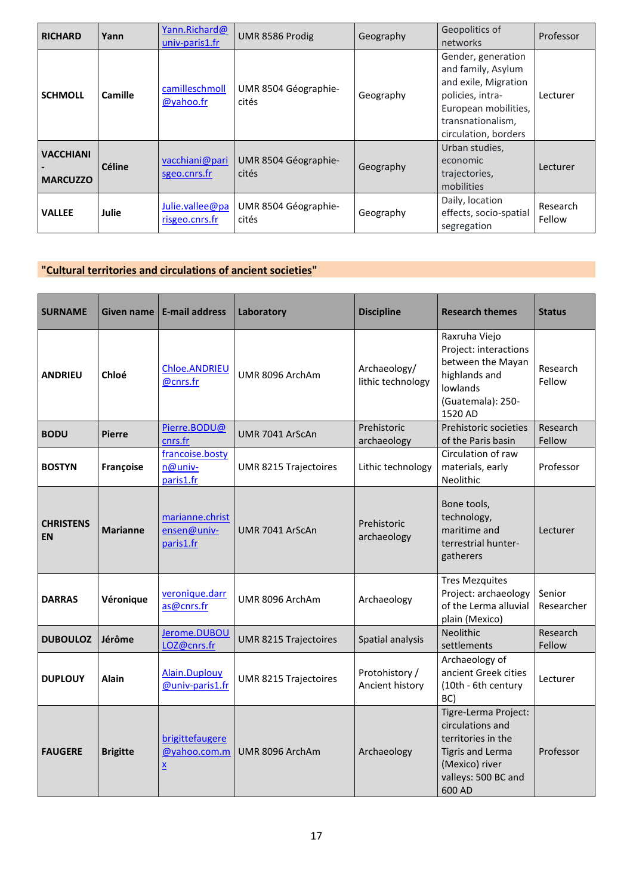| <b>RICHARD</b>               | Yann          | Yann.Richard@<br>univ-paris1.fr   | UMR 8586 Prodig               | Geography | Geopolitics of<br>networks                                                                                                                                | Professor          |
|------------------------------|---------------|-----------------------------------|-------------------------------|-----------|-----------------------------------------------------------------------------------------------------------------------------------------------------------|--------------------|
| <b>SCHMOLL</b>               | Camille       | camilleschmoll<br>@yahoo.fr       | UMR 8504 Géographie-<br>cités | Geography | Gender, generation<br>and family, Asylum<br>and exile, Migration<br>policies, intra-<br>European mobilities,<br>transnationalism,<br>circulation, borders | Lecturer           |
| VACCHIANI<br><b>MARCUZZO</b> | <b>Céline</b> | vacchiani@pari<br>sgeo.cnrs.fr    | UMR 8504 Géographie-<br>cités | Geography | Urban studies,<br>economic<br>trajectories,<br>mobilities                                                                                                 | Lecturer           |
| <b>VALLEE</b>                | Julie         | Julie.vallee@pa<br>risgeo.cnrs.fr | UMR 8504 Géographie-<br>cités | Geography | Daily, location<br>effects, socio-spatial<br>segregation                                                                                                  | Research<br>Fellow |

### **"Cultural territories and circulations of ancient societies"**

| <b>SURNAME</b>                | Given name      | <b>E-mail address</b>                                      | Laboratory                   | <b>Discipline</b>                 | <b>Research themes</b>                                                                                                                       | <b>Status</b>        |
|-------------------------------|-----------------|------------------------------------------------------------|------------------------------|-----------------------------------|----------------------------------------------------------------------------------------------------------------------------------------------|----------------------|
| <b>ANDRIEU</b>                | Chloé           | <b>Chloe.ANDRIEU</b><br>@cnrs.fr                           | UMR 8096 ArchAm              | Archaeology/<br>lithic technology | Raxruha Viejo<br>Project: interactions<br>between the Mayan<br>highlands and<br>lowlands<br>(Guatemala): 250-<br>1520 AD                     | Research<br>Fellow   |
| <b>BODU</b>                   | <b>Pierre</b>   | Pierre.BODU@<br>cnrs.fr                                    | UMR 7041 ArScAn              | Prehistoric<br>archaeology        | Prehistoric societies<br>of the Paris basin                                                                                                  | Research<br>Fellow   |
| <b>BOSTYN</b>                 | Françoise       | francoise.bosty<br>n@univ-<br>paris1.fr                    | UMR 8215 Trajectoires        | Lithic technology                 | Circulation of raw<br>materials, early<br>Neolithic                                                                                          | Professor            |
| <b>CHRISTENS</b><br><b>EN</b> | <b>Marianne</b> | marianne.christ<br>ensen@univ-<br>paris1.fr                | UMR 7041 ArScAn              | Prehistoric<br>archaeology        | Bone tools,<br>technology,<br>maritime and<br>terrestrial hunter-<br>gatherers                                                               | Lecturer             |
| <b>DARRAS</b>                 | Véronique       | veronique.darr<br>as@cnrs.fr                               | UMR 8096 ArchAm              | Archaeology                       | <b>Tres Mezquites</b><br>Project: archaeology<br>of the Lerma alluvial<br>plain (Mexico)                                                     | Senior<br>Researcher |
| <b>DUBOULOZ</b>               | Jérôme          | Jerome.DUBOU<br>LOZ@cnrs.fr                                | <b>UMR 8215 Trajectoires</b> | Spatial analysis                  | <b>Neolithic</b><br>settlements                                                                                                              | Research<br>Fellow   |
| <b>DUPLOUY</b>                | <b>Alain</b>    | Alain.Duplouy<br>@univ-paris1.fr                           | <b>UMR 8215 Trajectoires</b> | Protohistory /<br>Ancient history | Archaeology of<br>ancient Greek cities<br>(10th - 6th century<br>BC)                                                                         | Lecturer             |
| <b>FAUGERE</b>                | <b>Brigitte</b> | brigittefaugere<br>@yahoo.com.m<br>$\overline{\mathbf{x}}$ | UMR 8096 ArchAm              | Archaeology                       | Tigre-Lerma Project:<br>circulations and<br>territories in the<br><b>Tigris and Lerma</b><br>(Mexico) river<br>valleys: 500 BC and<br>600 AD | Professor            |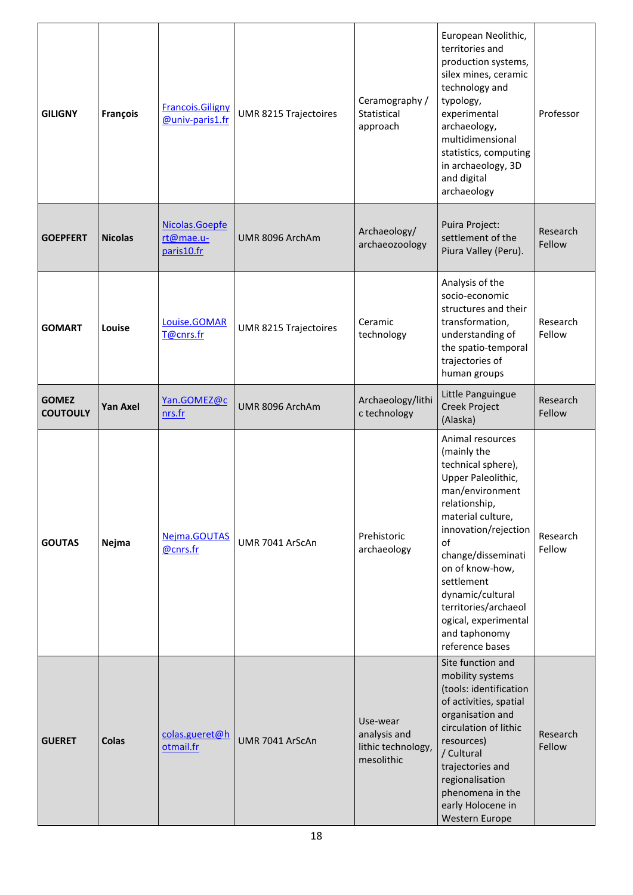| <b>GILIGNY</b>                  | François        | <b>Francois.Giligny</b><br>@univ-paris1.fr | UMR 8215 Trajectoires | Ceramography /<br>Statistical<br>approach                    | European Neolithic,<br>territories and<br>production systems,<br>silex mines, ceramic<br>technology and<br>typology,<br>experimental<br>archaeology,<br>multidimensional<br>statistics, computing<br>in archaeology, 3D<br>and digital<br>archaeology                                                                             | Professor          |
|---------------------------------|-----------------|--------------------------------------------|-----------------------|--------------------------------------------------------------|-----------------------------------------------------------------------------------------------------------------------------------------------------------------------------------------------------------------------------------------------------------------------------------------------------------------------------------|--------------------|
| <b>GOEPFERT</b>                 | <b>Nicolas</b>  | Nicolas.Goepfe<br>rt@mae.u-<br>paris10.fr  | UMR 8096 ArchAm       | Archaeology/<br>archaeozoology                               | Puira Project:<br>settlement of the<br>Piura Valley (Peru).                                                                                                                                                                                                                                                                       | Research<br>Fellow |
| <b>GOMART</b>                   | Louise          | Louise.GOMAR<br>T@cnrs.fr                  | UMR 8215 Trajectoires | Ceramic<br>technology                                        | Analysis of the<br>socio-economic<br>structures and their<br>transformation,<br>understanding of<br>the spatio-temporal<br>trajectories of<br>human groups                                                                                                                                                                        | Research<br>Fellow |
| <b>GOMEZ</b><br><b>COUTOULY</b> | <b>Yan Axel</b> | Yan.GOMEZ@c<br>nrs.fr                      | UMR 8096 ArchAm       | Archaeology/lithi<br>c technology                            | Little Panguingue<br>Creek Project<br>(Alaska)                                                                                                                                                                                                                                                                                    | Research<br>Fellow |
| <b>GOUTAS</b>                   | Nejma           | Nejma.GOUTAS<br>@cnrs.fr                   | UMR 7041 ArScAn       | Prehistoric<br>archaeology                                   | Animal resources<br>(mainly the<br>technical sphere),<br>Upper Paleolithic,<br>man/environment<br>relationship,<br>material culture,<br>innovation/rejection<br>of<br>change/disseminati<br>on of know-how,<br>settlement<br>dynamic/cultural<br>territories/archaeol<br>ogical, experimental<br>and taphonomy<br>reference bases | Research<br>Fellow |
| <b>GUERET</b>                   | <b>Colas</b>    | colas.gueret@h<br>otmail.fr                | UMR 7041 ArScAn       | Use-wear<br>analysis and<br>lithic technology,<br>mesolithic | Site function and<br>mobility systems<br>(tools: identification<br>of activities, spatial<br>organisation and<br>circulation of lithic<br>resources)<br>/ Cultural<br>trajectories and<br>regionalisation<br>phenomena in the<br>early Holocene in<br><b>Western Europe</b>                                                       | Research<br>Fellow |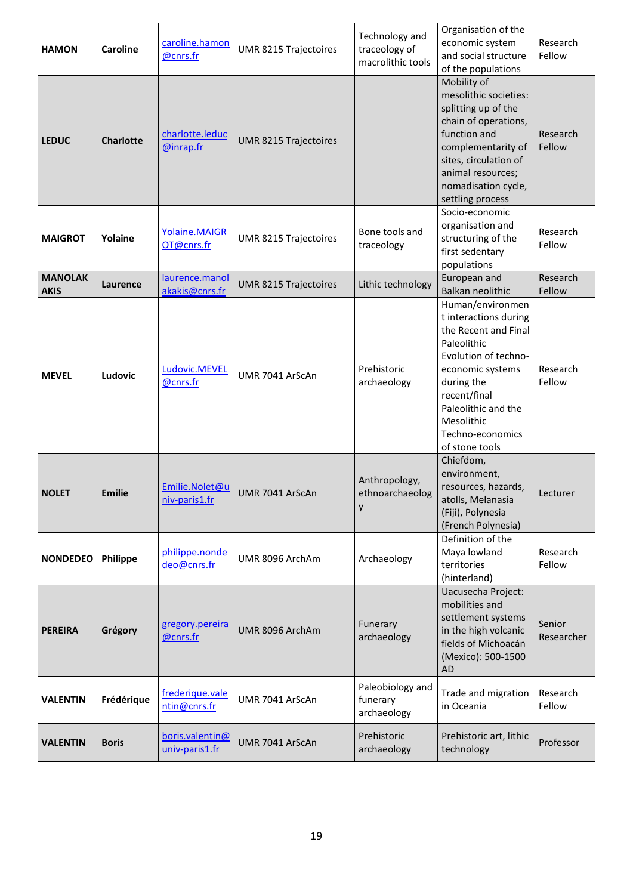| <b>HAMON</b>                  | <b>Caroline</b>  | caroline.hamon<br>@cnrs.fr             | UMR 8215 Trajectoires        | Technology and<br>traceology of<br>macrolithic tools | Organisation of the<br>economic system<br>and social structure<br>of the populations                                                                                                                                                  | Research<br>Fellow   |
|-------------------------------|------------------|----------------------------------------|------------------------------|------------------------------------------------------|---------------------------------------------------------------------------------------------------------------------------------------------------------------------------------------------------------------------------------------|----------------------|
| <b>LEDUC</b>                  | <b>Charlotte</b> | charlotte.leduc<br>@inrap.fr           | <b>UMR 8215 Trajectoires</b> |                                                      | Mobility of<br>mesolithic societies:<br>splitting up of the<br>chain of operations,<br>function and<br>complementarity of<br>sites, circulation of<br>animal resources;<br>nomadisation cycle,<br>settling process                    | Research<br>Fellow   |
| <b>MAIGROT</b>                | Yolaine          | <b>Yolaine.MAIGR</b><br>OT@cnrs.fr     | UMR 8215 Trajectoires        | Bone tools and<br>traceology                         | Socio-economic<br>organisation and<br>structuring of the<br>first sedentary<br>populations                                                                                                                                            | Research<br>Fellow   |
| <b>MANOLAK</b><br><b>AKIS</b> | Laurence         | laurence.manol<br>akakis@cnrs.fr       | <b>UMR 8215 Trajectoires</b> | Lithic technology                                    | European and<br>Balkan neolithic                                                                                                                                                                                                      | Research<br>Fellow   |
| <b>MEVEL</b>                  | Ludovic          | Ludovic.MEVEL<br>@cnrs.fr              | UMR 7041 ArScAn              | Prehistoric<br>archaeology                           | Human/environmen<br>t interactions during<br>the Recent and Final<br>Paleolithic<br>Evolution of techno-<br>economic systems<br>during the<br>recent/final<br>Paleolithic and the<br>Mesolithic<br>Techno-economics<br>of stone tools | Research<br>Fellow   |
| <b>NOLET</b>                  | <b>Emilie</b>    | <u>Emilie.Nolet@u</u><br>niv-paris1.fr | UMR 7041 ArScAn              | Anthropology,<br>ethnoarchaeolog<br>y                | Chiefdom,<br>environment,<br>resources, hazards,<br>atolls, Melanasia<br>(Fiji), Polynesia<br>(French Polynesia)                                                                                                                      | Lecturer             |
| <b>NONDEDEO</b>               | Philippe         | philippe.nonde<br>deo@cnrs.fr          | UMR 8096 ArchAm              | Archaeology                                          | Definition of the<br>Maya lowland<br>territories<br>(hinterland)                                                                                                                                                                      | Research<br>Fellow   |
| <b>PEREIRA</b>                | Grégory          | gregory.pereira<br>@cnrs.fr            | UMR 8096 ArchAm              | Funerary<br>archaeology                              | Uacusecha Project:<br>mobilities and<br>settlement systems<br>in the high volcanic<br>fields of Michoacán<br>(Mexico): 500-1500<br><b>AD</b>                                                                                          | Senior<br>Researcher |
| <b>VALENTIN</b>               | Frédérique       | frederique.vale<br>ntin@cnrs.fr        | UMR 7041 ArScAn              | Paleobiology and<br>funerary<br>archaeology          | Trade and migration<br>in Oceania                                                                                                                                                                                                     | Research<br>Fellow   |
| <b>VALENTIN</b>               | <b>Boris</b>     | boris.valentin@<br>univ-paris1.fr      | UMR 7041 ArScAn              | Prehistoric<br>archaeology                           | Prehistoric art, lithic<br>technology                                                                                                                                                                                                 | Professor            |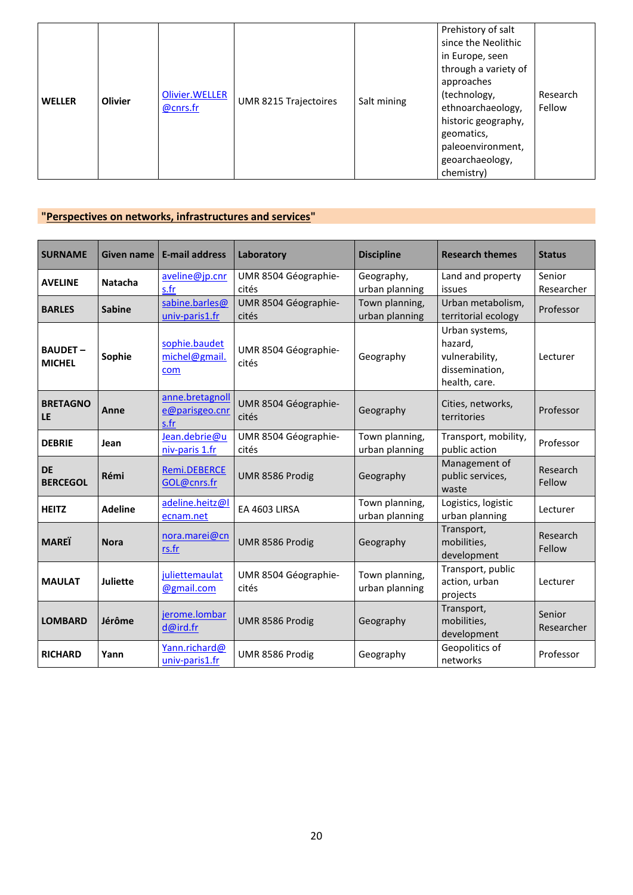| <b>WELLER</b> | <b>Olivier</b> | Olivier.WELLER<br>@cnrs.fr | UMR 8215 Trajectoires | Salt mining | Prehistory of salt<br>since the Neolithic<br>in Europe, seen<br>through a variety of<br>approaches<br>(technology,<br>ethnoarchaeology,<br>historic geography,<br>geomatics,<br>paleoenvironment,<br>geoarchaeology,<br>chemistry) | Research<br>Fellow |
|---------------|----------------|----------------------------|-----------------------|-------------|------------------------------------------------------------------------------------------------------------------------------------------------------------------------------------------------------------------------------------|--------------------|
|---------------|----------------|----------------------------|-----------------------|-------------|------------------------------------------------------------------------------------------------------------------------------------------------------------------------------------------------------------------------------------|--------------------|

# **"Perspectives on networks, infrastructures and services"**

| <b>SURNAME</b>                  | <b>Given name</b> | <b>E-mail address</b>                     | Laboratory                    | <b>Discipline</b>                | <b>Research themes</b>                                                         | <b>Status</b>        |
|---------------------------------|-------------------|-------------------------------------------|-------------------------------|----------------------------------|--------------------------------------------------------------------------------|----------------------|
| <b>AVELINE</b>                  | <b>Natacha</b>    | aveline@jp.cnr<br>s.fr                    | UMR 8504 Géographie-<br>cités | Geography,<br>urban planning     | Land and property<br>issues                                                    | Senior<br>Researcher |
| <b>BARLES</b>                   | <b>Sabine</b>     | sabine.barles@<br>univ-paris1.fr          | UMR 8504 Géographie-<br>cités | Town planning,<br>urban planning | Urban metabolism,<br>territorial ecology                                       | Professor            |
| <b>BAUDET-</b><br><b>MICHEL</b> | Sophie            | sophie.baudet<br>michel@gmail.<br>com     | UMR 8504 Géographie-<br>cités | Geography                        | Urban systems,<br>hazard,<br>vulnerability,<br>dissemination,<br>health, care. | Lecturer             |
| <b>BRETAGNO</b><br>LE           | Anne              | anne.bretagnoll<br>e@parisgeo.cnr<br>s.fr | UMR 8504 Géographie-<br>cités | Geography                        | Cities, networks,<br>territories                                               | Professor            |
| <b>DEBRIE</b>                   | Jean              | Jean.debrie@u<br>niv-paris 1.fr           | UMR 8504 Géographie-<br>cités | Town planning,<br>urban planning | Transport, mobility,<br>public action                                          | Professor            |
| <b>DE</b><br><b>BERCEGOL</b>    | Rémi              | Remi.DEBERCE<br>GOL@cnrs.fr               | UMR 8586 Prodig               | Geography                        | Management of<br>public services,<br>waste                                     | Research<br>Fellow   |
| <b>HEITZ</b>                    | <b>Adeline</b>    | adeline.heitz@l<br>ecnam.net              | EA 4603 LIRSA                 | Town planning,<br>urban planning | Logistics, logistic<br>urban planning                                          | Lecturer             |
| <b>MAREI</b>                    | <b>Nora</b>       | nora.marei@cn<br>rs.fr                    | UMR 8586 Prodig               | Geography                        | Transport,<br>mobilities,<br>development                                       | Research<br>Fellow   |
| <b>MAULAT</b>                   | <b>Juliette</b>   | juliettemaulat<br>@gmail.com              | UMR 8504 Géographie-<br>cités | Town planning,<br>urban planning | Transport, public<br>action, urban<br>projects                                 | Lecturer             |
| <b>LOMBARD</b>                  | Jérôme            | jerome.lombar<br>d@ird.fr                 | UMR 8586 Prodig               | Geography                        | Transport,<br>mobilities,<br>development                                       | Senior<br>Researcher |
| <b>RICHARD</b>                  | Yann              | Yann.richard@<br>univ-paris1.fr           | UMR 8586 Prodig               | Geography                        | Geopolitics of<br>networks                                                     | Professor            |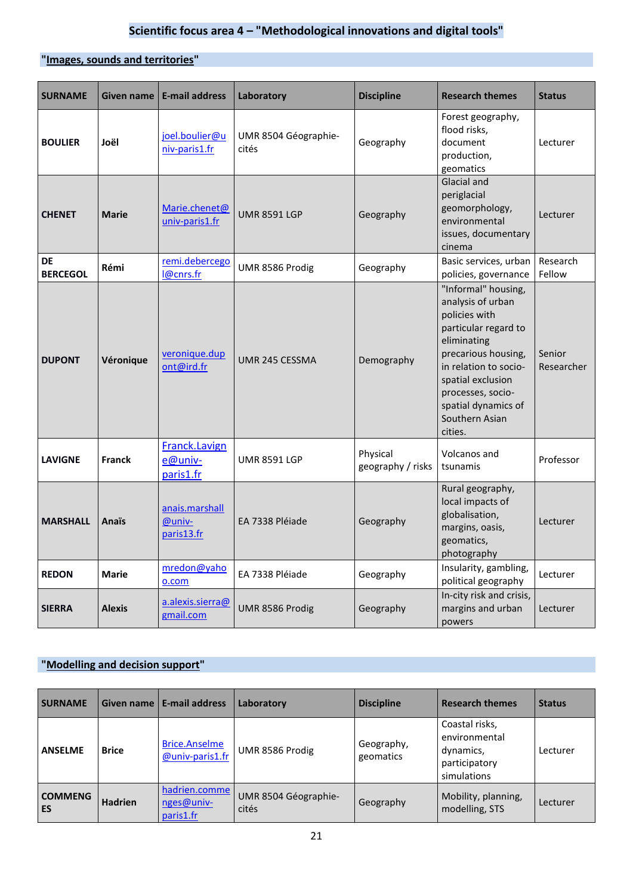# **Scientific focus area 4 – "Methodological innovations and digital tools"**

# **"Images, sounds and territories"**

| <b>SURNAME</b>        | <b>Given name</b> | <b>E-mail address</b>                  | Laboratory                    | <b>Discipline</b>             | <b>Research themes</b>                                                                                                                                                                                                                         | <b>Status</b>        |
|-----------------------|-------------------|----------------------------------------|-------------------------------|-------------------------------|------------------------------------------------------------------------------------------------------------------------------------------------------------------------------------------------------------------------------------------------|----------------------|
| <b>BOULIER</b>        | Joël              | joel.boulier@u<br>niv-paris1.fr        | UMR 8504 Géographie-<br>cités | Geography                     | Forest geography,<br>flood risks,<br>document<br>production,<br>geomatics                                                                                                                                                                      | Lecturer             |
| <b>CHENET</b>         | <b>Marie</b>      | Marie.chenet@<br>univ-paris1.fr        | <b>UMR 8591 LGP</b>           | Geography                     | <b>Glacial and</b><br>periglacial<br>geomorphology,<br>environmental<br>issues, documentary<br>cinema                                                                                                                                          | Lecturer             |
| DE<br><b>BERCEGOL</b> | Rémi              | remi.debercego<br>l@cnrs.fr            | UMR 8586 Prodig               | Geography                     | Basic services, urban<br>policies, governance                                                                                                                                                                                                  | Research<br>Fellow   |
| <b>DUPONT</b>         | Véronique         | veronique.dup<br>ont@ird.fr            | UMR 245 CESSMA                | Demography                    | "Informal" housing,<br>analysis of urban<br>policies with<br>particular regard to<br>eliminating<br>precarious housing,<br>in relation to socio-<br>spatial exclusion<br>processes, socio-<br>spatial dynamics of<br>Southern Asian<br>cities. | Senior<br>Researcher |
| <b>LAVIGNE</b>        | <b>Franck</b>     | Franck.Lavign<br>e@univ-<br>paris1.fr  | <b>UMR 8591 LGP</b>           | Physical<br>geography / risks | Volcanos and<br>tsunamis                                                                                                                                                                                                                       | Professor            |
| <b>MARSHALL</b>       | Anaïs             | anais.marshall<br>@univ-<br>paris13.fr | EA 7338 Pléjade               | Geography                     | Rural geography,<br>local impacts of<br>globalisation,<br>margins, oasis,<br>geomatics,<br>photography                                                                                                                                         | Lecturer             |
| <b>REDON</b>          | <b>Marie</b>      | mredon@yaho<br>o.com                   | EA 7338 Pléjade               | Geography                     | Insularity, gambling,<br>political geography                                                                                                                                                                                                   | Lecturer             |
| <b>SIERRA</b>         | <b>Alexis</b>     | a.alexis.sierra@<br>gmail.com          | UMR 8586 Prodig               | Geography                     | In-city risk and crisis,<br>margins and urban<br>powers                                                                                                                                                                                        | Lecturer             |

# **"Modelling and decision support"**

| <b>SURNAME</b>       | Given name     | <b>E-mail address</b>                    | Laboratory                    | <b>Discipline</b>       | <b>Research themes</b>                                                       | <b>Status</b> |
|----------------------|----------------|------------------------------------------|-------------------------------|-------------------------|------------------------------------------------------------------------------|---------------|
| <b>ANSELME</b>       | <b>Brice</b>   | <b>Brice.Anselme</b><br>@univ-paris1.fr  | UMR 8586 Prodig               | Geography,<br>geomatics | Coastal risks,<br>environmental<br>dynamics,<br>participatory<br>simulations | Lecturer      |
| <b>COMMENG</b><br>ES | <b>Hadrien</b> | hadrien.comme<br>nges@univ-<br>paris1.fr | UMR 8504 Géographie-<br>cités | Geography               | Mobility, planning,<br>modelling, STS                                        | Lecturer      |